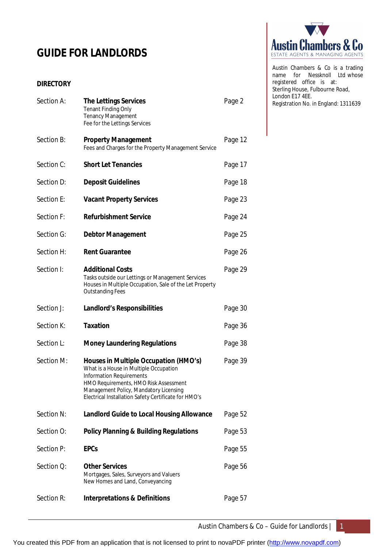# **GUIDE FOR LANDLORDS**

# **DIRECTORY**

| Section A: | <b>The Lettings Services</b><br><b>Tenant Finding Only</b><br><b>Tenancy Management</b><br>Fee for the Lettings Services                                                                                                                               | Page 2  |
|------------|--------------------------------------------------------------------------------------------------------------------------------------------------------------------------------------------------------------------------------------------------------|---------|
| Section B: | <b>Property Management</b><br>Fees and Charges for the Property Management Service                                                                                                                                                                     | Page 12 |
| Section C: | <b>Short Let Tenancies</b>                                                                                                                                                                                                                             | Page 17 |
| Section D: | <b>Deposit Guidelines</b>                                                                                                                                                                                                                              | Page 18 |
| Section E: | <b>Vacant Property Services</b>                                                                                                                                                                                                                        | Page 23 |
| Section F: | <b>Refurbishment Service</b>                                                                                                                                                                                                                           | Page 24 |
| Section G: | <b>Debtor Management</b>                                                                                                                                                                                                                               | Page 25 |
| Section H: | <b>Rent Guarantee</b>                                                                                                                                                                                                                                  | Page 26 |
| Section I: | <b>Additional Costs</b><br>Tasks outside our Lettings or Management Services<br>Houses in Multiple Occupation, Sale of the Let Property<br><b>Outstanding Fees</b>                                                                                     | Page 29 |
| Section J: | <b>Landlord's Responsibilities</b>                                                                                                                                                                                                                     | Page 30 |
| Section K: | <b>Taxation</b>                                                                                                                                                                                                                                        | Page 36 |
| Section L: | <b>Money Laundering Regulations</b>                                                                                                                                                                                                                    | Page 38 |
| Section M: | Houses in Multiple Occupation (HMO's)<br>What is a House in Multiple Occupation<br>Information Requirements<br>HMO Requirements, HMO Risk Assessment<br>Management Policy, Mandatory Licensing<br>Electrical Installation Safety Certificate for HMO's | Page 39 |
| Section N: | <b>Landlord Guide to Local Housing Allowance</b>                                                                                                                                                                                                       | Page 52 |
| Section O: | <b>Policy Planning &amp; Building Regulations</b>                                                                                                                                                                                                      | Page 53 |
| Section P: | <b>EPCs</b>                                                                                                                                                                                                                                            | Page 55 |
| Section Q: | <b>Other Services</b><br>Mortgages, Sales, Surveyors and Valuers<br>New Homes and Land, Conveyancing                                                                                                                                                   | Page 56 |
| Section R: | <b>Interpretations &amp; Definitions</b>                                                                                                                                                                                                               | Page 57 |



Austin Chambers & Co is a trading name for Nessknoll Ltd whose registered office is at: Sterling House, Fulbourne Road, London E17 4EE. Registration No. in England: 1311639

Austin Chambers & Co – Guide for Landlords | 1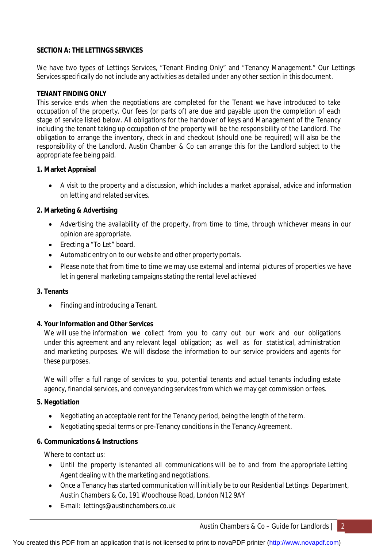# **SECTION A: THE LETTINGS SERVICES**

We have two types of Lettings Services, "Tenant Finding Only" and "Tenancy Management." Our Lettings Services specifically do not include any activities as detailed under any other section in this document.

# **TENANT FINDING ONLY**

This service ends when the negotiations are completed for the Tenant we have introduced to take occupation of the property. Our fees (or parts of) are due and payable upon the completion of each stage of service listed below. All obligations for the handover of keys and Management of the Tenancy including the tenant taking up occupation of the property will be the responsibility of the Landlord. The obligation to arrange the inventory, check in and checkout (should one be required) will also be the responsibility of the Landlord. Austin Chamber & Co can arrange this for the Landlord subject to the appropriate fee being paid.

# **1. Market Appraisal**

 A visit to the property and a discussion, which includes a market appraisal, advice and information on letting and related services.

# **2. Marketing & Advertising**

- Advertising the availability of the property, from time to time, through whichever means in our opinion are appropriate.
- Erecting a "To Let" board.
- Automatic entry on to our website and other property portals.
- Please note that from time to time we may use external and internal pictures of properties we have let in general marketing campaigns stating the rental level achieved

# **3. Tenants**

• Finding and introducing a Tenant.

# **4. Your Information and Other Services**

We will use the information we collect from you to carry out our work and our obligations under this agreement and any relevant legal obligation; as well as for statistical, administration and marketing purposes. We will disclose the information to our service providers and agents for these purposes.

We will offer a full range of services to you, potential tenants and actual tenants including estate agency, financial services, and conveyancing services from which we may get commission orfees.

# **5. Negotiation**

- Negotiating an acceptable rent for the Tenancy period, being the length of the term.
- Negotiating special terms or pre-Tenancy conditions in the Tenancy Agreement.

# **6. Communications & Instructions**

Where to contact us:

- Until the property is tenanted all communications will be to and from the appropriate Letting Agent dealing with the marketing and negotiations.
- Once a Tenancy has started communication will initially be to our Residential Lettings Department, Austin Chambers & Co, 191 Woodhouse Road, London N12 9AY
- E-mail: [lettings@austinchambers.co.uk](mailto:lettings@austinchambers.co.uk)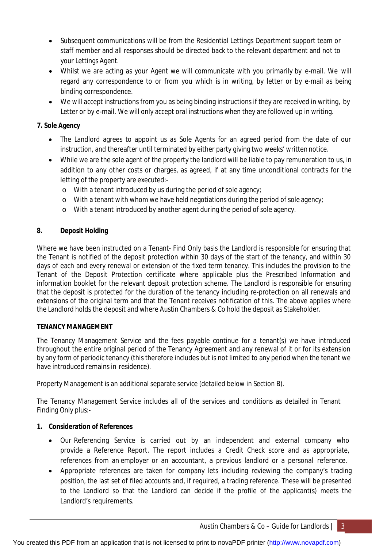- Subsequent communications will be from the Residential Lettings Department support team or staff member and all responses should be directed back to the relevant department and not to your Lettings Agent.
- Whilst we are acting as your Agent we will communicate with you primarily by e-mail. We will regard any correspondence to or from you which is in writing, by letter or by e-mail as being binding correspondence.
- We will accept instructions from you as being binding instructions if they are received in writing, by Letter or by e-mail. We will only accept oral instructions when they are followed up in writing.

# **7. Sole Agency**

- The Landlord agrees to appoint us as Sole Agents for an agreed period from the date of our instruction, and thereafter until terminated by either party giving two weeks' written notice.
- While we are the sole agent of the property the landlord will be liable to pay remuneration to us, in addition to any other costs or charges, as agreed, if at any time unconditional contracts for the letting of the property are executed:
	- o With a tenant introduced by us during the period of sole agency;
	- o With a tenant with whom we have held negotiations during the period of sole agency;
	- o With a tenant introduced by another agent during the period of sole agency.

# **8. Deposit Holding**

Where we have been instructed on a Tenant- Find Only basis the Landlord is responsible for ensuring that the Tenant is notified of the deposit protection within 30 days of the start of the tenancy, and within 30 days of each and every renewal or extension of the fixed term tenancy. This includes the provision to the Tenant of the Deposit Protection certificate where applicable plus the Prescribed Information and information booklet for the relevant deposit protection scheme. The Landlord is responsible for ensuring that the deposit is protected for the duration of the tenancy including re-protection on all renewals and extensions of the original term and that the Tenant receives notification of this. The above applies where the Landlord holds the deposit and where Austin Chambers & Co hold the deposit as Stakeholder.

# **TENANCY MANAGEMENT**

The Tenancy Management Service and the fees payable continue for a tenant(s) we have introduced throughout the entire original period of the Tenancy Agreement and any renewal of it or for its extension by any form of periodic tenancy (this therefore includes but is not limited to any period when the tenant we have introduced remains in residence).

Property Management is an additional separate service (detailed below in Section B).

The Tenancy Management Service includes all of the services and conditions as detailed in Tenant Finding Only plus:-

# **1. Consideration of References**

- Our Referencing Service is carried out by an independent and external company who provide a Reference Report. The report includes a Credit Check score and as appropriate, references from an employer or an accountant, a previous landlord or a personal reference.
- Appropriate references are taken for company lets including reviewing the company's trading position, the last set of filed accounts and, if required, a trading reference. These will be presented to the Landlord so that the Landlord can decide if the profile of the applicant(s) meets the Landlord's requirements.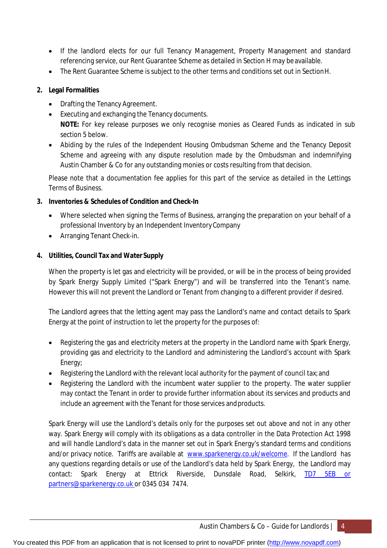- If the landlord elects for our full Tenancy Management, Property Management and standard referencing service, our Rent Guarantee Scheme as detailed in Section H may be available.
- The Rent Guarantee Scheme is subject to the other terms and conditions set out in SectionH.

# **2. Legal Formalities**

- Drafting the Tenancy Agreement.
- Executing and exchanging the Tenancy documents. **NOTE:** For key release purposes we only recognise monies as Cleared Funds as indicated in sub section 5 below.
- Abiding by the rules of the Independent Housing Ombudsman Scheme and the Tenancy Deposit Scheme and agreeing with any dispute resolution made by the Ombudsman and indemnifying Austin Chamber & Co for any outstanding monies or costs resulting from that decision.

Please note that a documentation fee applies for this part of the service as detailed in the Lettings Terms of Business.

# **3. Inventories & Schedules of Condition and Check-In**

- Where selected when signing the Terms of Business, arranging the preparation on your behalf of a professional Inventory by an Independent InventoryCompany
- Arranging Tenant Check-in.

# **4. Utilities, Council Tax and Water Supply**

When the property is let gas and electricity will be provided, or will be in the process of being provided by Spark Energy Supply Limited ("Spark Energy") and will be transferred into the Tenant's name. However this will not prevent the Landlord or Tenant from changing to a different provider if desired.

The Landlord agrees that the letting agent may pass the Landlord's name and contact details to Spark Energy at the point of instruction to let the property for the purposes of:

- Registering the gas and electricity meters at the property in the Landlord name with Spark Energy, providing gas and electricity to the Landlord and administering the Landlord's account with Spark Energy;
- Registering the Landlord with the relevant local authority for the payment of council tax; and
- Registering the Landlord with the incumbent water supplier to the property. The water supplier may contact the Tenant in order to provide further information about its services and products and include an agreement with the Tenant for those services andproducts.

Spark Energy will use the Landlord's details only for the purposes set out above and not in any other way. Spark Energy will comply with its obligations as a data controller in the Data Protection Act 1998 and will handle Landlord's data in the manner set out in Spark Energy's standard terms and conditions and/or privacy notice. Tariffs are available at [www.sparkenergy.co.uk/welcome.](http://www.sparkenergy.co.uk/welcome.) If the Landlord has any questions regarding details or use of the Landlord's data held by Spark Energy, the Landlord may contact: Spark Energy at Ettrick Riverside, Dunsdale Road, Selkirk, TD7 5EB or [partners@sparkenergy.co.uk](mailto:partners@sparkenergy.co.uk) or 0345 034 7474.

You created this PDF from an application that is not licensed to print to novaPDF printer ([http://www.novapdf.com\)](http://www.novapdf.com/)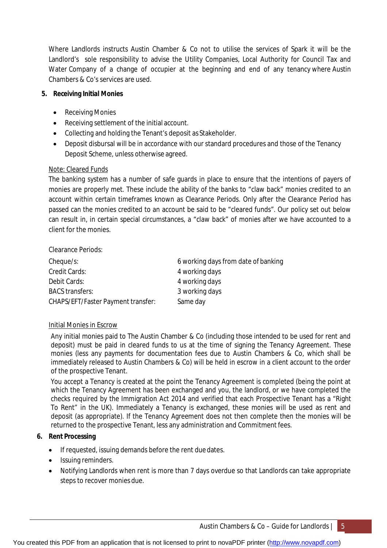Where Landlords instructs Austin Chamber & Co not to utilise the services of Spark it will be the Landlord's sole responsibility to advise the Utility Companies, Local Authority for Council Tax and Water Company of a change of occupier at the beginning and end of any tenancy where Austin Chambers & Co's services are used.

# **5. Receiving Initial Monies**

- Receiving Monies
- Receiving settlement of the initial account.
- Collecting and holding the Tenant's deposit as Stakeholder.
- Deposit disbursal will be in accordance with our standard procedures and those of the Tenancy Deposit Scheme, unless otherwise agreed.

# Note: Cleared Funds

The banking system has a number of safe guards in place to ensure that the intentions of payers of monies are properly met. These include the ability of the banks to "claw back" monies credited to an account within certain timeframes known as Clearance Periods. Only after the Clearance Period has passed can the monies credited to an account be said to be "cleared funds". Our policy set out below can result in, in certain special circumstances, a "claw back" of monies after we have accounted to a client for the monies.

Clearance Periods:

| Cheque/s:                          | 6 working days from date of banking |
|------------------------------------|-------------------------------------|
| Credit Cards:                      | 4 working days                      |
| Debit Cards:                       | 4 working days                      |
| <b>BACS transfers:</b>             | 3 working days                      |
| CHAPS/EFT/Faster Payment transfer: | Same day                            |

# Initial Monies in Escrow

Any initial monies paid to The Austin Chamber & Co (including those intended to be used for rent and deposit) must be paid in cleared funds to us at the time of signing the Tenancy Agreement. These monies (less any payments for documentation fees due to Austin Chambers & Co, which shall be immediately released to Austin Chambers & Co) will be held in escrow in a client account to the order of the prospective Tenant.

You accept a Tenancy is created at the point the Tenancy Agreement is completed (being the point at which the Tenancy Agreement has been exchanged and you, the landlord, or we have completed the checks required by the Immigration Act 2014 and verified that each Prospective Tenant has a "Right To Rent" in the UK). Immediately a Tenancy is exchanged, these monies will be used as rent and deposit (as appropriate). If the Tenancy Agreement does not then complete then the monies will be returned to the prospective Tenant, less any administration and Commitment fees.

# **6. Rent Processing**

- If requested, issuing demands before the rent due dates.
- Issuing reminders.
- Notifying Landlords when rent is more than 7 days overdue so that Landlords can take appropriate steps to recover monies due.

You created this PDF from an application that is not licensed to print to novaPDF printer ([http://www.novapdf.com\)](http://www.novapdf.com/)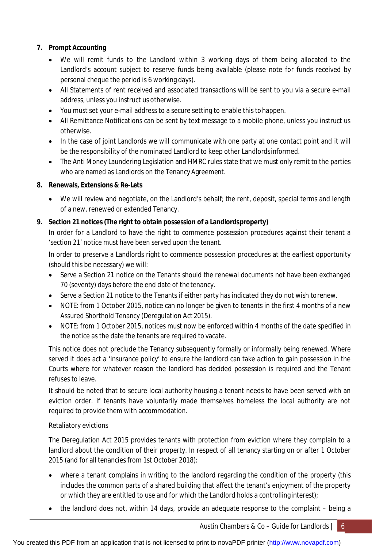# **7. Prompt Accounting**

- We will remit funds to the Landlord within 3 working days of them being allocated to the Landlord's account subject to reserve funds being available (please note for funds received by personal cheque the period is 6 working days).
- All Statements of rent received and associated transactions will be sent to you via a secure e-mail address, unless you instruct us otherwise.
- You must set your e-mail address to a secure setting to enable this tohappen.
- All Remittance Notifications can be sent by text message to a mobile phone, unless you instruct us otherwise.
- In the case of joint Landlords we will communicate with one party at one contact point and it will be the responsibility of the nominated Landlord to keep other Landlordsinformed.
- The Anti Money Laundering Legislation and HMRC rules state that we must only remit to the parties who are named as Landlords on the Tenancy Agreement.

# **8. Renewals, Extensions & Re-Lets**

 We will review and negotiate, on the Landlord's behalf; the rent, deposit, special terms and length of a new, renewed or extended Tenancy.

# **9. Section 21 notices (The right to obtain possession of a Landlordsproperty)**

In order for a Landlord to have the right to commence possession procedures against their tenant a 'section 21' notice must have been served upon the tenant.

In order to preserve a Landlords right to commence possession procedures at the earliest opportunity (should this be necessary) we will:

- Serve a Section 21 notice on the Tenants should the renewal documents not have been exchanged 70 (seventy) days before the end date of the tenancy.
- Serve a Section 21 notice to the Tenants if either party has indicated they do not wish torenew.
- NOTE: from 1 October 2015, notice can no longer be given to tenants in the first 4 months of a new Assured Shorthold Tenancy (Deregulation Act 2015).
- NOTE: from 1 October 2015, notices must now be enforced within 4 months of the date specified in the notice as the date the tenants are required to vacate.

This notice does not preclude the Tenancy subsequently formally or informally being renewed. Where served it does act a 'insurance policy' to ensure the landlord can take action to gain possession in the Courts where for whatever reason the landlord has decided possession is required and the Tenant refuses to leave.

It should be noted that to secure local authority housing a tenant needs to have been served with an eviction order. If tenants have voluntarily made themselves homeless the local authority are not required to provide them with accommodation.

# Retaliatory evictions

The Deregulation Act 2015 provides tenants with protection from eviction where they complain to a landlord about the condition of their property. In respect of all tenancy starting on or after 1 October 2015 (and for all tenancies from 1st October 2018):

- where a tenant complains in writing to the landlord regarding the condition of the property (this includes the common parts of a shared building that affect the tenant's enjoyment of the property or which they are entitled to use and for which the Landlord holds a controllinginterest);
- the landlord does not, within 14 days, provide an adequate response to the complaint being a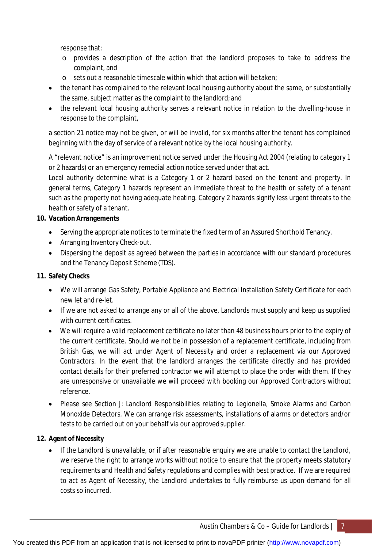response that:

- o provides a description of the action that the landlord proposes to take to address the complaint, and
- o sets out a reasonable timescale within which that action will be taken;
- the tenant has complained to the relevant local housing authority about the same, or substantially the same, subject matter as the complaint to the landlord;and
- the relevant local housing authority serves a relevant notice in relation to the dwelling-house in response to the complaint,

a section 21 notice may not be given, or will be invalid, for six months after the tenant has complained beginning with the day of service of a relevant notice by the local housing authority.

A "relevant notice" is an improvement notice served under the Housing Act 2004 (relating to category 1 or 2 hazards) or an emergency remedial action notice served under that act.

Local authority determine what is a Category 1 or 2 hazard based on the tenant and property. In general terms, Category 1 hazards represent an immediate threat to the health or safety of a tenant such as the property not having adequate heating. Category 2 hazards signify less urgent threats to the health or safety of a tenant.

# **10. Vacation Arrangements**

- Serving the appropriate notices to terminate the fixed term of an Assured Shorthold Tenancy.
- Arranging Inventory Check-out.
- Dispersing the deposit as agreed between the parties in accordance with our standard procedures and the Tenancy Deposit Scheme (TDS).

# **11. Safety Checks**

- We will arrange Gas Safety, Portable Appliance and Electrical Installation Safety Certificate for each new let and re-let.
- If we are not asked to arrange any or all of the above, Landlords must supply and keep us supplied with current certificates.
- We will require a valid replacement certificate no later than 48 business hours prior to the expiry of the current certificate. Should we not be in possession of a replacement certificate, including from British Gas, we will act under Agent of Necessity and order a replacement via our Approved Contractors. In the event that the landlord arranges the certificate directly and has provided contact details for their preferred contractor we will attempt to place the order with them. If they are unresponsive or unavailable we will proceed with booking our Approved Contractors without reference.
- Please see Section J: Landlord Responsibilities relating to Legionella, Smoke Alarms and Carbon Monoxide Detectors. We can arrange risk assessments, installations of alarms or detectors and/or tests to be carried out on your behalf via our approvedsupplier.

# **12. Agent of Necessity**

 If the Landlord is unavailable, or if after reasonable enquiry we are unable to contact the Landlord, we reserve the right to arrange works without notice to ensure that the property meets statutory requirements and Health and Safety regulations and complies with best practice. If we are required to act as Agent of Necessity, the Landlord undertakes to fully reimburse us upon demand for all costs so incurred.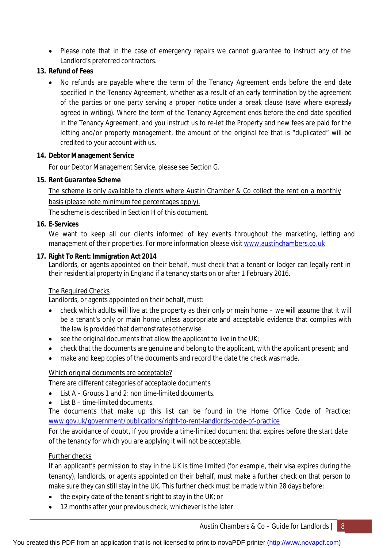• Please note that in the case of emergency repairs we cannot guarantee to instruct any of the Landlord's preferred contractors.

# **13. Refund of Fees**

• No refunds are payable where the term of the Tenancy Agreement ends before the end date specified in the Tenancy Agreement, whether as a result of an early termination by the agreement of the parties or one party serving a proper notice under a break clause (save where expressly agreed in writing). Where the term of the Tenancy Agreement ends before the end date specified in the Tenancy Agreement, and you instruct us to re-let the Property and new fees are paid for the letting and/or property management, the amount of the original fee that is "duplicated" will be credited to your account with us.

# **14. Debtor Management Service**

For our Debtor Management Service, please see Section G.

# **15. Rent Guarantee Scheme**

The scheme is only available to clients where Austin Chamber & Co collect the rent on a monthly basis (please note minimum fee percentages apply).

The scheme is described in Section H of this document.

# **16. E-Services**

We want to keep all our clients informed of key events throughout the marketing, letting and management of their properties. For more information please visit [www.austinchambers.co.uk](http://www.austinchambers.co.uk)

# **17. Right To Rent: Immigration Act 2014**

Landlords, or agents appointed on their behalf, must check that a tenant or lodger can legally rent in their residential property in England if a tenancy starts on or after 1 February 2016.

# The Required Checks

Landlords, or agents appointed on their behalf, must:

- check which adults will live at the property as their only or main home we will assume that it will be a tenant's only or main home unless appropriate and acceptable evidence that complies with the law is provided that demonstrates otherwise
- $\bullet$  see the original documents that allow the applicant to live in the UK;
- check that the documents are genuine and belong to the applicant, with the applicant present; and
- make and keep copies of the documents and record the date the check was made.

# Which original documents are acceptable?

There are different categories of acceptable documents

- List A Groups 1 and 2: non time-limited documents.
- List B time-limited documents.

The documents that make up this list can be found in the Home Office Code of Practice: [www.gov.uk/government/publications/right-to-rent-landlords-code-of-practice](http://www.gov.uk/government/publications/right-to-rent-landlords-code-of-practice)

For the avoidance of doubt, if you provide a time-limited document that expires before the start date of the tenancy for which you are applying it will not be acceptable.

# Further checks

If an applicant's permission to stay in the UK is time limited (for example, their visa expires during the tenancy), landlords, or agents appointed on their behalf, must make a further check on that person to make sure they can still stay in the UK. This further check must be made within 28 days before:

- $\bullet$  the expiry date of the tenant's right to stay in the UK; or
- 12 months after your previous check, whichever is the later.

Austin Chambers & Co – Guide for Landlords  $\begin{bmatrix} 8 \end{bmatrix}$ 

You created this PDF from an application that is not licensed to print to novaPDF printer ([http://www.novapdf.com\)](http://www.novapdf.com/)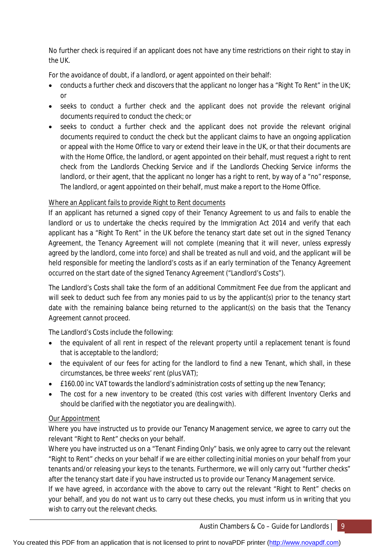No further check is required if an applicant does not have any time restrictions on their right to stay in the UK.

For the avoidance of doubt, if a landlord, or agent appointed on their behalf:

- conducts a further check and discovers that the applicant no longer has a "Right To Rent" in the UK; or
- seeks to conduct a further check and the applicant does not provide the relevant original documents required to conduct the check; or
- seeks to conduct a further check and the applicant does not provide the relevant original documents required to conduct the check but the applicant claims to have an ongoing application or appeal with the Home Office to vary or extend their leave in the UK, or that their documents are with the Home Office, the landlord, or agent appointed on their behalf, must request a right to rent check from the Landlords Checking Service and if the Landlords Checking Service informs the landlord, or their agent, that the applicant no longer has a right to rent, by way of a "no" response, The landlord, or agent appointed on their behalf, must make a report to the Home Office.

# Where an Applicant fails to provide Right to Rent documents

If an applicant has returned a signed copy of their Tenancy Agreement to us and fails to enable the landlord or us to undertake the checks required by the Immigration Act 2014 and verify that each applicant has a "Right To Rent" in the UK before the tenancy start date set out in the signed Tenancy Agreement, the Tenancy Agreement will not complete (meaning that it will never, unless expressly agreed by the landlord, come into force) and shall be treated as null and void, and the applicant will be held responsible for meeting the landlord's costs as if an early termination of the Tenancy Agreement occurred on the start date of the signed Tenancy Agreement ("Landlord's Costs").

The Landlord's Costs shall take the form of an additional Commitment Fee due from the applicant and will seek to deduct such fee from any monies paid to us by the applicant(s) prior to the tenancy start date with the remaining balance being returned to the applicant(s) on the basis that the Tenancy Agreement cannot proceed.

The Landlord's Costs include the following:

- the equivalent of all rent in respect of the relevant property until a replacement tenant is found that is acceptable to the landlord;
- the equivalent of our fees for acting for the landlord to find a new Tenant, which shall, in these circumstances, be three weeks' rent (plus VAT);
- £160.00 inc VAT towards the landlord's administration costs of setting up the new Tenancy;
- The cost for a new inventory to be created (this cost varies with different Inventory Clerks and should be clarified with the negotiator you are dealingwith).

# Our Appointment

Where you have instructed us to provide our Tenancy Management service, we agree to carry out the relevant "Right to Rent" checks on your behalf.

Where you have instructed us on a "Tenant Finding Only" basis, we only agree to carry out the relevant "Right to Rent" checks on your behalf if we are either collecting initial monies on your behalf from your tenants and/or releasing your keys to the tenants. Furthermore, we will only carry out "further checks" after the tenancy start date if you have instructed us to provide our Tenancy Management service.

If we have agreed, in accordance with the above to carry out the relevant "Right to Rent" checks on your behalf, and you do not want us to carry out these checks, you must inform us in writing that you wish to carry out the relevant checks.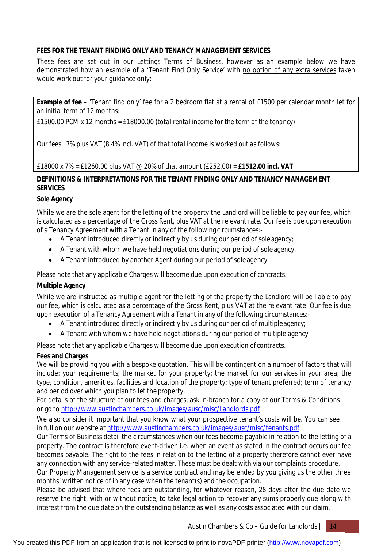# **FEES FOR THE TENANT FINDING ONLY AND TENANCY MANAGEMENT SERVICES**

These fees are set out in our Lettings Terms of Business, however as an example below we have demonstrated how an example of a 'Tenant Find Only Service' with no option of any extra services taken would work out for your guidance only:

**Example of fee –** 'Tenant find only' fee for a 2 bedroom flat at a rental of £1500 per calendar month let for an initial term of 12 months:

*£1500.00 PCM x 12 months = £18000.00 (total rental income for the term of the tenancy)*

*Our fees: 7% plus VAT (8.4% incl. VAT) of that total income is worked out as follows:*

*£18000 x 7% = £1260.00 plus VAT @ 20% of that amount (£252.00) = £1512.00 incl. VAT*

# **DEFINITIONS & INTERPRETATIONS FOR THE TENANT FINDING ONLY AND TENANCY MANAGEMENT SERVICES**

# **Sole Agency**

While we are the sole agent for the letting of the property the Landlord will be liable to pay our fee, which is calculated as a percentage of the Gross Rent, plus VAT at the relevant rate. Our fee is due upon execution of a Tenancy Agreement with a Tenant in any of the following circumstances:-

- A Tenant introduced directly or indirectly by us during our period of soleagency;
- A Tenant with whom we have held negotiations during our period of sole agency.
- A Tenant introduced by another Agent during our period of soleagency

Please note that any applicable Charges will become due upon execution of contracts.

# **Multiple Agency**

While we are instructed as multiple agent for the letting of the property the Landlord will be liable to pay our fee, which is calculated as a percentage of the Gross Rent, plus VAT at the relevant rate. Our fee is due upon execution of a Tenancy Agreement with a Tenant in any of the following circumstances:-

- A Tenant introduced directly or indirectly by us during our period of multipleagency;
- A Tenant with whom we have held negotiations during our period of multiple agency.

Please note that any applicable Charges will become due upon execution of contracts.

# **Fees and Charges**

We will be providing you with a bespoke quotation. This will be contingent on a number of factors that will include: your requirements; the market for your property; the market for our services in your area; the type, condition, amenities, facilities and location of the property; type of tenant preferred; term of tenancy and period over which you plan to let the property.

For details of the structure of our fees and charges, ask in-branch for a copy of our Terms & Conditions or go to <http://www.austinchambers.co.uk/images/ausc/misc/Landlords.pdf>

We also consider it important that you know what your prospective tenant's costs will be. You can see in full on our website at <http://www.austinchambers.co.uk/images/ausc/misc/tenants.pdf>

Our Terms of Business detail the circumstances when our fees become payable in relation to the letting of a property. The contract is therefore event-driven i.e. when an event as stated in the contract occurs our fee becomes payable. The right to the fees in relation to the letting of a property therefore cannot ever have any connection with any service-related matter. These must be dealt with via our complaints procedure.

Our Property Management service is a service contract and may be ended by you giving us the other three months' written notice of in any case when the tenant(s) end the occupation.

Please be advised that where fees are outstanding, for whatever reason, 28 days after the due date we reserve the right, with or without notice, to take legal action to recover any sums properly due along with interest from the due date on the outstanding balance as well as any costs associated with our claim.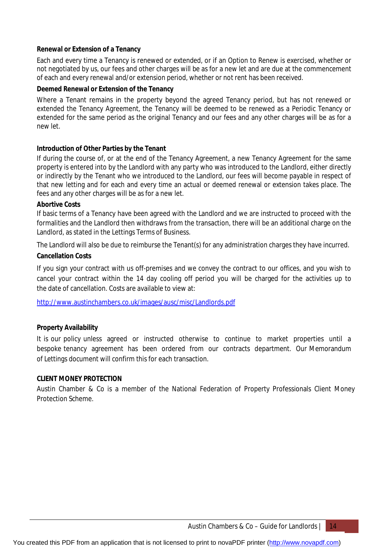# **Renewal or Extension of a Tenancy**

Each and every time a Tenancy is renewed or extended, or if an Option to Renew is exercised, whether or not negotiated by us, our fees and other charges will be as for a new let and are due at the commencement of each and every renewal and/or extension period, whether or not rent has been received.

# **Deemed Renewal or Extension of the Tenancy**

Where a Tenant remains in the property beyond the agreed Tenancy period, but has not renewed or extended the Tenancy Agreement, the Tenancy will be deemed to be renewed as a Periodic Tenancy or extended for the same period as the original Tenancy and our fees and any other charges will be as for a new let.

# **Introduction of Other Parties by the Tenant**

If during the course of, or at the end of the Tenancy Agreement, a new Tenancy Agreement for the same property is entered into by the Landlord with any party who was introduced to the Landlord, either directly or indirectly by the Tenant who we introduced to the Landlord, our fees will become payable in respect of that new letting and for each and every time an actual or deemed renewal or extension takes place. The fees and any other charges will be as for a new let.

# **Abortive Costs**

If basic terms of a Tenancy have been agreed with the Landlord and we are instructed to proceed with the formalities and the Landlord then withdraws from the transaction, there will be an additional charge on the Landlord, as stated in the Lettings Terms of Business.

The Landlord will also be due to reimburse the Tenant(s) for any administration charges they have incurred.

# **Cancellation Costs**

If you sign your contract with us off-premises and we convey the contract to our offices, and you wish to cancel your contract within the 14 day cooling off period you will be charged for the activities up to the date of cancellation. Costs are available to view at:

<http://www.austinchambers.co.uk/images/ausc/misc/Landlords.pdf>

# **Property Availability**

It is our policy unless agreed or instructed otherwise to continue to market properties until a bespoke tenancy agreement has been ordered from our contracts department. Our Memorandum of Lettings document will confirm this for each transaction.

# **CLIENT MONEY PROTECTION**

Austin Chamber & Co is a member of the National Federation of Property Professionals Client Money Protection Scheme.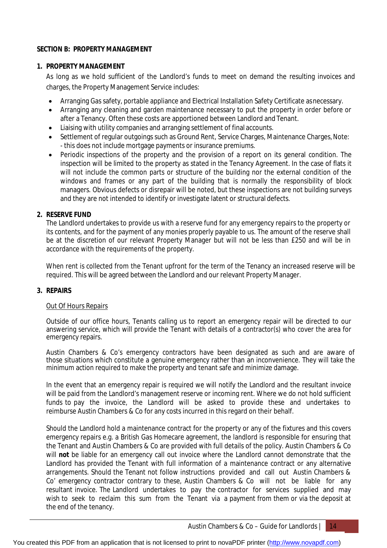# **SECTION B: PROPERTY MANAGEMENT**

# **1. PROPERTY MANAGEMENT**

As long as we hold sufficient of the Landlord's funds to meet on demand the resulting invoices and charges, the Property Management Service includes:

- Arranging Gas safety, portable appliance and Electrical Installation Safety Certificate asnecessary.
- Arranging any cleaning and garden maintenance necessary to put the property in order before or after a Tenancy. Often these costs are apportioned between Landlord and Tenant.
- Liaising with utility companies and arranging settlement of final accounts.
- Settlement of regular outgoings such as Ground Rent, Service Charges, Maintenance Charges, Note: - this does not include mortgage payments or insurance premiums.
- Periodic inspections of the property and the provision of a report on its general condition. The inspection will be limited to the property as stated in the Tenancy Agreement. In the case of flats it will not include the common parts or structure of the building nor the external condition of the windows and frames or any part of the building that is normally the responsibility of block managers. Obvious defects or disrepair will be noted, but these inspections are not building surveys and they are not intended to identify or investigate latent or structural defects.

# **2. RESERVE FUND**

The Landlord undertakes to provide us with a reserve fund for any emergency repairs to the property or its contents, and for the payment of any monies properly payable to us. The amount of the reserve shall be at the discretion of our relevant Property Manager but will not be less than £250 and will be in accordance with the requirements of the property.

When rent is collected from the Tenant upfront for the term of the Tenancy an increased reserve will be required. This will be agreed between the Landlord and our relevant Property Manager.

# **3. REPAIRS**

# Out Of Hours Repairs

Outside of our office hours, Tenants calling us to report an emergency repair will be directed to our answering service, which will provide the Tenant with details of a contractor(s) who cover the area for emergency repairs.

Austin Chambers & Co's emergency contractors have been designated as such and are aware of those situations which constitute a genuine emergency rather than an inconvenience. They will take the minimum action required to make the property and tenant safe and minimize damage.

In the event that an emergency repair is required we will notify the Landlord and the resultant invoice will be paid from the Landlord's management reserve or incoming rent. Where we do not hold sufficient funds to pay the invoice, the Landlord will be asked to provide these and undertakes to reimburse Austin Chambers & Co for any costs incurred in this regard on their behalf.

Should the Landlord hold a maintenance contract for the property or any of the fixtures and this covers emergency repairs e.g. a British Gas Homecare agreement, the landlord is responsible for ensuring that the Tenant and Austin Chambers & Co are provided with full details of the policy. Austin Chambers & Co will **not** be liable for an emergency call out invoice where the Landlord cannot demonstrate that the Landlord has provided the Tenant with full information of a maintenance contract or any alternative arrangements. Should the Tenant not follow instructions provided and call out Austin Chambers & Co' emergency contractor contrary to these, Austin Chambers & Co will not be liable for any resultant invoice. The Landlord undertakes to pay the contractor for services supplied and may wish to seek to reclaim this sum from the Tenant via a payment from them or via the deposit at the end of the tenancy.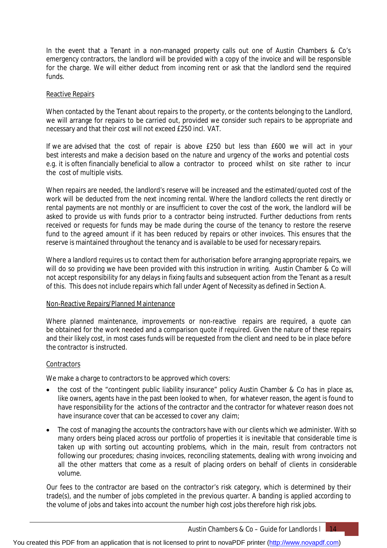In the event that a Tenant in a non-managed property calls out one of Austin Chambers & Co's emergency contractors, the landlord will be provided with a copy of the invoice and will be responsible for the charge. We will either deduct from incoming rent or ask that the landlord send the required funds.

#### Reactive Repairs

When contacted by the Tenant about repairs to the property, or the contents belonging to the Landlord, we will arrange for repairs to be carried out, provided we consider such repairs to be appropriate and necessary and that their cost will not exceed £250 incl. VAT.

If we are advised that the cost of repair is above £250 but less than £600 we will act in your best interests and make a decision based on the nature and urgency of the works and potential costs e.g. it is often financially beneficial to allow a contractor to proceed whilst on site rather to incur the cost of multiple visits.

When repairs are needed, the landlord's reserve will be increased and the estimated/quoted cost of the work will be deducted from the next incoming rental. Where the landlord collects the rent directly or rental payments are not monthly or are insufficient to cover the cost of the work, the landlord will be asked to provide us with funds prior to a contractor being instructed. Further deductions from rents received or requests for funds may be made during the course of the tenancy to restore the reserve fund to the agreed amount if it has been reduced by repairs or other invoices. This ensures that the reserve is maintained throughout the tenancy and is available to be used for necessary repairs.

Where a landlord requires us to contact them for authorisation before arranging appropriate repairs, we will do so providing we have been provided with this instruction in writing. Austin Chamber & Co will not accept responsibility for any delays in fixing faults and subsequent action from the Tenant as a result of this. This does not include repairs which fall under Agent of Necessity as defined in Section A.

#### Non-Reactive Repairs/Planned Maintenance

Where planned maintenance, improvements or non-reactive repairs are required, a quote can be obtained for the work needed and a comparison quote if required. Given the nature of these repairs and their likely cost, in most cases funds will be requested from the client and need to be in place before the contractor is instructed.

# **Contractors**

We make a charge to contractors to be approved which covers:

- the cost of the "contingent public liability insurance" policy Austin Chamber & Co has in place as, like owners, agents have in the past been looked to when, for whatever reason, the agent is found to have responsibility for the actions of the contractor and the contractor for whatever reason does not have insurance cover that can be accessed to cover any claim;
- The cost of managing the accounts the contractors have with our clients which we administer. With so many orders being placed across our portfolio of properties it is inevitable that considerable time is taken up with sorting out accounting problems, which in the main, result from contractors not following our procedures; chasing invoices, reconciling statements, dealing with wrong invoicing and all the other matters that come as a result of placing orders on behalf of clients in considerable volume.

Our fees to the contractor are based on the contractor's risk category, which is determined by their trade(s), and the number of jobs completed in the previous quarter. A banding is applied according to the volume of jobs and takes into account the number high cost jobs therefore high risk jobs.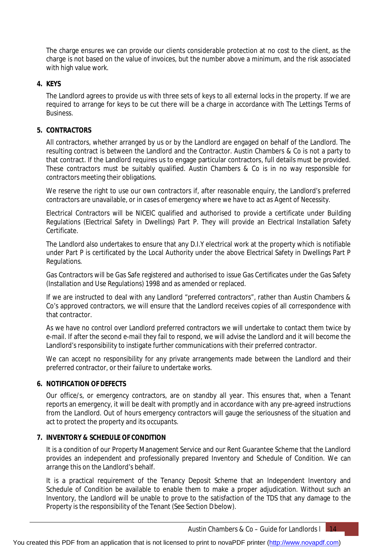The charge ensures we can provide our clients considerable protection at no cost to the client, as the charge is not based on the value of invoices, but the number above a minimum, and the risk associated with high value work.

# **4. KEYS**

The Landlord agrees to provide us with three sets of keys to all external locks in the property. If we are required to arrange for keys to be cut there will be a charge in accordance with The Lettings Terms of **Business** 

# **5. CONTRACTORS**

All contractors, whether arranged by us or by the Landlord are engaged on behalf of the Landlord. The resulting contract is between the Landlord and the Contractor. Austin Chambers & Co is not a party to that contract. If the Landlord requires us to engage particular contractors, full details must be provided. These contractors must be suitably qualified. Austin Chambers & Co is in no way responsible for contractors meeting their obligations.

We reserve the right to use our own contractors if, after reasonable enquiry, the Landlord's preferred contractors are unavailable, or in cases of emergency where we have to act as Agent of Necessity.

Electrical Contractors will be NICEIC qualified and authorised to provide a certificate under Building Regulations (Electrical Safety in Dwellings) Part P. They will provide an Electrical Installation Safety Certificate.

The Landlord also undertakes to ensure that any D.I.Y electrical work at the property which is notifiable under Part P is certificated by the Local Authority under the above Electrical Safety in Dwellings Part P Regulations.

Gas Contractors will be Gas Safe registered and authorised to issue Gas Certificates under the Gas Safety (Installation and Use Regulations) 1998 and as amended or replaced.

If we are instructed to deal with any Landlord "preferred contractors", rather than Austin Chambers & Co's approved contractors, we will ensure that the Landlord receives copies of all correspondence with that contractor.

As we have no control over Landlord preferred contractors we will undertake to contact them twice by e-mail. If after the second e-mail they fail to respond, we will advise the Landlord and it will become the Landlord's responsibility to instigate further communications with their preferred contractor.

We can accept no responsibility for any private arrangements made between the Landlord and their preferred contractor, or their failure to undertake works.

# **6. NOTIFICATION OF DEFECTS**

Our office/s, or emergency contractors, are on standby all year. This ensures that, when a Tenant reports an emergency, it will be dealt with promptly and in accordance with any pre-agreed instructions from the Landlord. Out of hours emergency contractors will gauge the seriousness of the situation and act to protect the property and its occupants.

# **7. INVENTORY & SCHEDULE OF CONDITION**

It is a condition of our Property Management Service and our Rent Guarantee Scheme that the Landlord provides an independent and professionally prepared Inventory and Schedule of Condition. We can arrange this on the Landlord's behalf.

It is a practical requirement of the Tenancy Deposit Scheme that an Independent Inventory and Schedule of Condition be available to enable them to make a proper adjudication. Without such an Inventory, the Landlord will be unable to prove to the satisfaction of the TDS that any damage to the Property is the responsibility of the Tenant (See Section Dbelow).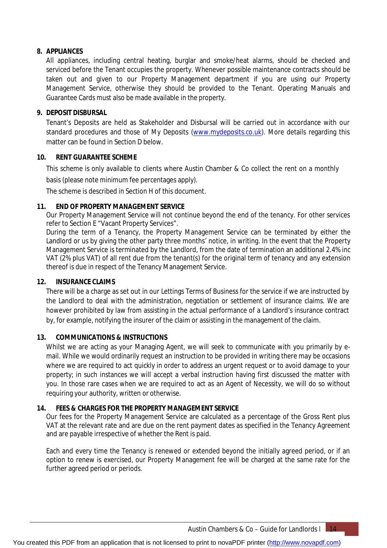# **8. APPLIANCES**

All appliances, including central heating, burglar and smoke/heat alarms, should be checked and serviced before the Tenant occupies the property. Whenever possible maintenance contracts should be taken out and given to our Property Management department if you are using our Property Management Service, otherwise they should be provided to the Tenant. Operating Manuals and Guarantee Cards must also be made available in the property.

# **9. DEPOSIT DISBURSAL**

Tenant's Deposits are held as Stakeholder and Disbursal will be carried out in accordance with our standard procedures and those of My Deposits [\(www.mydeposits.co.uk\).](http://www.mydeposits.co.uk).) More details regarding this matter can be found in Section D below.

# **10. RENT GUARANTEE SCHEME**

This scheme is only available to clients where Austin Chamber & Co collect the rent on a monthly

basis (please note minimum fee percentages apply).

The scheme is described in Section H of this document.

# **11. END OF PROPERTY MANAGEMENT SERVICE**

Our Property Management Service will not continue beyond the end of the tenancy. For other services refer to Section E "Vacant Property Services".

During the term of a Tenancy, the Property Management Service can be terminated by either the Landlord or us by giving the other party three months' notice, in writing. In the event that the Property Management Service is terminated by the Landlord, from the date of termination an additional 2.4% inc VAT (2% plus VAT) of all rent due from the tenant(s) for the original term of tenancy and any extension thereof is due in respect of the Tenancy Management Service.

# **12. INSURANCE CLAIMS**

There will be a charge as set out in our Lettings Terms of Business for the service if we are instructed by the Landlord to deal with the administration, negotiation or settlement of insurance claims. We are however prohibited by law from assisting in the actual performance of a Landlord's insurance contract by, for example, notifying the insurer of the claim or assisting in the management of the claim.

# **13. COMMUNICATIONS & INSTRUCTIONS**

Whilst we are acting as your Managing Agent, we will seek to communicate with you primarily by email. While we would ordinarily request an instruction to be provided in writing there may be occasions where we are required to act quickly in order to address an urgent request or to avoid damage to your property; in such instances we will accept a verbal instruction having first discussed the matter with you. In those rare cases when we are required to act as an Agent of Necessity, we will do so without requiring your authority, written or otherwise.

# **14. FEES & CHARGES FOR THE PROPERTY MANAGEMENT SERVICE**

Our fees for the Property Management Service are calculated as a percentage of the Gross Rent plus VAT at the relevant rate and are due on the rent payment dates as specified in the Tenancy Agreement and are payable irrespective of whether the Rent is paid.

Each and every time the Tenancy is renewed or extended beyond the initially agreed period, or if an option to renew is exercised, our Property Management fee will be charged at the same rate for the further agreed period or periods.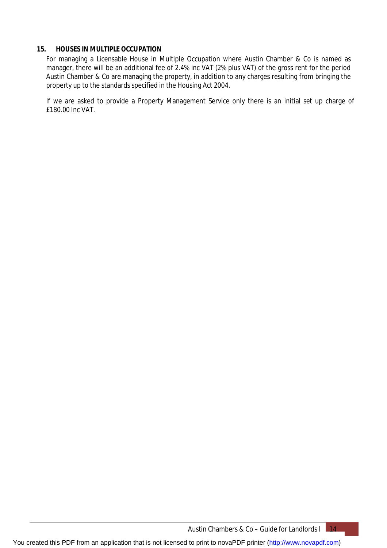# **15. HOUSES IN MULTIPLE OCCUPATION**

For managing a Licensable House in Multiple Occupation where Austin Chamber & Co is named as manager, there will be an additional fee of 2.4% inc VAT (2% plus VAT) of the gross rent for the period Austin Chamber & Co are managing the property, in addition to any charges resulting from bringing the property up to the standards specified in the Housing Act 2004.

If we are asked to provide a Property Management Service only there is an initial set up charge of £180.00 Inc VAT.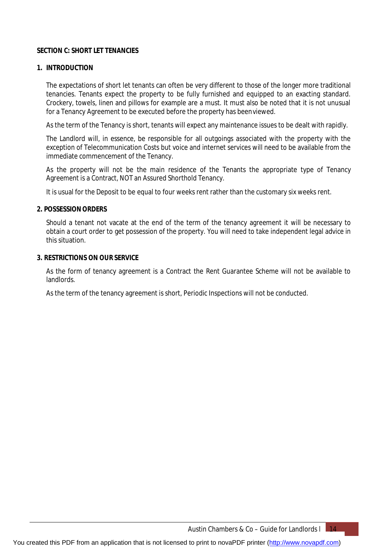# **SECTION C: SHORT LET TENANCIES**

# **1. INTRODUCTION**

The expectations of short let tenants can often be very different to those of the longer more traditional tenancies. Tenants expect the property to be fully furnished and equipped to an exacting standard. Crockery, towels, linen and pillows for example are a must. It must also be noted that it is not unusual for a Tenancy Agreement to be executed before the property has beenviewed.

As the term of the Tenancy is short, tenants will expect any maintenance issues to be dealt with rapidly.

The Landlord will, in essence, be responsible for all outgoings associated with the property with the exception of Telecommunication Costs but voice and internet services will need to be available from the immediate commencement of the Tenancy.

As the property will not be the main residence of the Tenants the appropriate type of Tenancy Agreement is a Contract, NOT an Assured Shorthold Tenancy.

It is usual for the Deposit to be equal to four weeks rent rather than the customary six weeks rent.

#### **2. POSSESSIONORDERS**

Should a tenant not vacate at the end of the term of the tenancy agreement it will be necessary to obtain a court order to get possession of the property. You will need to take independent legal advice in this situation.

#### **3. RESTRICTIONS ON OUR SERVICE**

As the form of tenancy agreement is a Contract the Rent Guarantee Scheme will not be available to landlords.

As the term of the tenancy agreement is short, Periodic Inspections will not be conducted.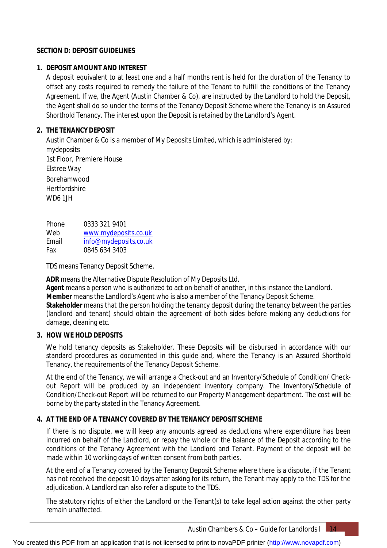# **SECTION D: DEPOSIT GUIDELINES**

# **1. DEPOSIT AMOUNT AND INTEREST**

A deposit equivalent to at least one and a half months rent is held for the duration of the Tenancy to offset any costs required to remedy the failure of the Tenant to fulfill the conditions of the Tenancy Agreement. If we, the Agent (Austin Chamber & Co), are instructed by the Landlord to hold the Deposit, the Agent shall do so under the terms of the Tenancy Deposit Scheme where the Tenancy is an Assured Shorthold Tenancy. The interest upon the Deposit is retained by the Landlord's Agent.

# **2. THE TENANCY DEPOSIT**

Austin Chamber & Co is a member of My Deposits Limited, which is administered by: mydeposits 1st Floor, Premiere House Elstree Way Borehamwood **Hertfordshire** WD6 1JH

Phone Web Email Fax 0333 321 9401 [www.mydeposits.co.uk](http://www.mydeposits.co.uk) [info@mydeposits.co.uk](mailto:info@mydeposits.co.uk) 0845 634 3403

TDS means Tenancy Deposit Scheme.

**ADR** means the Alternative Dispute Resolution of My Deposits Ltd.

**Agent** means a person who is authorized to act on behalf of another, in this instance the Landlord. **Member** means the Landlord's Agent who is also a member of the Tenancy Deposit Scheme.

**Stakeholder** means that the person holding the tenancy deposit during the tenancy between the parties (landlord and tenant) should obtain the agreement of both sides before making any deductions for damage, cleaning etc.

# **3. HOW WE HOLD DEPOSITS**

We hold tenancy deposits as Stakeholder. These Deposits will be disbursed in accordance with our standard procedures as documented in this guide and, where the Tenancy is an Assured Shorthold Tenancy, the requirements of the Tenancy Deposit Scheme.

At the end of the Tenancy, we will arrange a Check-out and an Inventory/Schedule of Condition/ Checkout Report will be produced by an independent inventory company. The Inventory/Schedule of Condition/Check-out Report will be returned to our Property Management department. The cost will be borne by the party stated in the Tenancy Agreement.

# **4. AT THE END OF A TENANCY COVERED BY THE TENANCY DEPOSITSCHEME**

If there is no dispute, we will keep any amounts agreed as deductions where expenditure has been incurred on behalf of the Landlord, or repay the whole or the balance of the Deposit according to the conditions of the Tenancy Agreement with the Landlord and Tenant. Payment of the deposit will be made within 10 working days of written consent from both parties.

At the end of a Tenancy covered by the Tenancy Deposit Scheme where there is a dispute, if the Tenant has not received the deposit 10 days after asking for its return, the Tenant may apply to the TDS for the adjudication. A Landlord can also refer a dispute to the TDS.

The statutory rights of either the Landlord or the Tenant(s) to take legal action against the other party remain unaffected.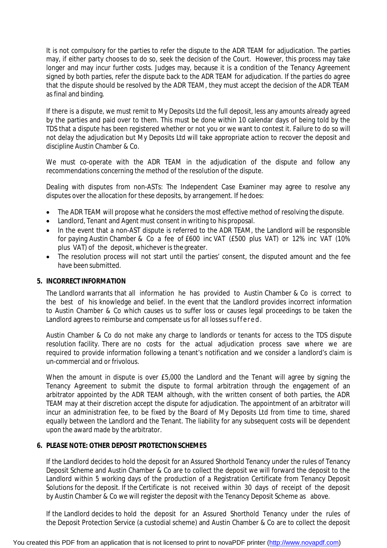It is not compulsory for the parties to refer the dispute to the ADR TEAM for adjudication. The parties may, if either party chooses to do so, seek the decision of the Court. However, this process may take longer and may incur further costs. Judges may, because it is a condition of the Tenancy Agreement signed by both parties, refer the dispute back to the ADR TEAM for adjudication. If the parties do agree that the dispute should be resolved by the ADR TEAM, they must accept the decision of the ADR TEAM as final and binding.

If there is a dispute, we must remit to My Deposits Ltd the full deposit, less any amounts already agreed by the parties and paid over to them. This must be done within 10 calendar days of being told by the TDS that a dispute has been registered whether or not you or we want to contest it. Failure to do so will not delay the adjudication but My Deposits Ltd will take appropriate action to recover the deposit and discipline Austin Chamber & Co.

We must co-operate with the ADR TEAM in the adiudication of the dispute and follow any recommendations concerning the method of the resolution of the dispute.

Dealing with disputes from non-ASTs: The Independent Case Examiner may agree to resolve any disputes over the allocation for these deposits, by arrangement. If hedoes:

- The ADR TEAM will propose what he considers the most effective method of resolving the dispute.
- Landlord, Tenant and Agent must consent in writing to his proposal.
- In the event that a non-AST dispute is referred to the ADR TEAM, the Landlord will be responsible for paying Austin Chamber & Co a fee of £600 inc VAT (£500 plus VAT) or 12% inc VAT (10% plus VAT) of the deposit, whichever is the greater.
- The resolution process will not start until the parties' consent, the disputed amount and the fee have been submitted.

# **5. INCORRECT INFORMATION**

The Landlord warrants that all information he has provided to Austin Chamber & Co is correct to the best of his knowledge and belief. In the event that the Landlord provides incorrect information to Austin Chamber & Co which causes us to suffer loss or causes legal proceedings to be taken the Landlord agrees to reimburse and compensate us for all losses suffere d.

Austin Chamber & Co do not make any charge to landlords or tenants for access to the TDS dispute resolution facility. There are no costs for the actual adjudication process save where we are required to provide information following a tenant's notification and we consider a landlord's claim is un-commercial and or frivolous.

When the amount in dispute is over £5,000 the Landlord and the Tenant will agree by signing the Tenancy Agreement to submit the dispute to formal arbitration through the engagement of an arbitrator appointed by the ADR TEAM although, with the written consent of both parties, the ADR TEAM may at their discretion accept the dispute for adjudication. The appointment of an arbitrator will incur an administration fee, to be fixed by the Board of My Deposits Ltd from time to time, shared equally between the Landlord and the Tenant. The liability for any subsequent costs will be dependent upon the award made by the arbitrator.

# **6. PLEASE NOTE: OTHER DEPOSIT PROTECTIONSCHEMES**

If the Landlord decides to hold the deposit for an Assured Shorthold Tenancy under the rules of Tenancy Deposit Scheme and Austin Chamber & Co are to collect the deposit we will forward the deposit to the Landlord within 5 working days of the production of a Registration Certificate from Tenancy Deposit Solutions for the deposit. If the Certificate is not received within 30 days of receipt of the deposit by Austin Chamber & Co we will register the deposit with the Tenancy Deposit Scheme as above.

If the Landlord decides to hold the deposit for an Assured Shorthold Tenancy under the rules of the Deposit Protection Service (a custodial scheme) and Austin Chamber & Co are to collect the deposit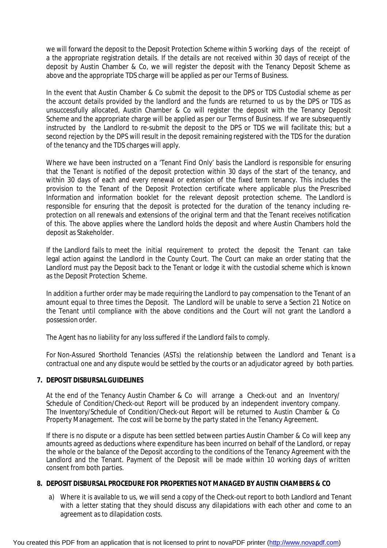we will forward the deposit to the Deposit Protection Scheme within 5 working days of the receipt of a the appropriate registration details. If the details are not received within 30 days of receipt of the deposit by Austin Chamber & Co, we will register the deposit with the Tenancy Deposit Scheme as above and the appropriate TDS charge will be applied as per our Terms of Business.

In the event that Austin Chamber & Co submit the deposit to the DPS or TDS Custodial scheme as per the account details provided by the landlord and the funds are returned to us by the DPS or TDS as unsuccessfully allocated, Austin Chamber & Co will register the deposit with the Tenancy Deposit Scheme and the appropriate charge will be applied as per our Terms of Business. If we are subsequently instructed by the Landlord to re-submit the deposit to the DPS or TDS we will facilitate this; but a second rejection by the DPS will result in the deposit remaining registered with the TDS for the duration of the tenancy and the TDS charges will apply.

Where we have been instructed on a 'Tenant Find Only' basis the Landlord is responsible for ensuring that the Tenant is notified of the deposit protection within 30 days of the start of the tenancy, and within 30 days of each and every renewal or extension of the fixed term tenancy. This includes the provision to the Tenant of the Deposit Protection certificate where applicable plus the Prescribed Information and information booklet for the relevant deposit protection scheme. The Landlord is responsible for ensuring that the deposit is protected for the duration of the tenancy including reprotection on all renewals and extensions of the original term and that the Tenant receives notification of this. The above applies where the Landlord holds the deposit and where Austin Chambers hold the deposit as Stakeholder.

If the Landlord fails to meet the initial requirement to protect the deposit the Tenant can take legal action against the Landlord in the County Court. The Court can make an order stating that the Landlord must pay the Deposit back to the Tenant or lodge it with the custodial scheme which is known as the Deposit Protection Scheme.

In addition a further order may be made requiring the Landlord to pay compensation to the Tenant of an amount equal to three times the Deposit. The Landlord will be unable to serve a Section 21 Notice on the Tenant until compliance with the above conditions and the Court will not grant the Landlord a possession order.

The Agent has no liability for any loss suffered if the Landlord fails to comply.

For Non-Assured Shorthold Tenancies (ASTs) the relationship between the Landlord and Tenant is a contractual one and any dispute would be settled by the courts or an adjudicator agreed by both parties.

# **7. DEPOSIT DISBURSALGUIDELINES**

At the end of the Tenancy Austin Chamber & Co will arrange a Check-out and an Inventory/ Schedule of Condition/Check-out Report will be produced by an independent inventory company. The Inventory/Schedule of Condition/Check-out Report will be returned to Austin Chamber & Co Property Management. The cost will be borne by the party stated in the Tenancy Agreement.

If there is no dispute or a dispute has been settled between parties Austin Chamber & Co will keep any amounts agreed as deductions where expenditure has been incurred on behalf of the Landlord, or repay the whole or the balance of the Deposit according to the conditions of the Tenancy Agreement with the Landlord and the Tenant. Payment of the Deposit will be made within 10 working days of written consent from both parties.

#### **8. DEPOSIT DISBURSAL PROCEDURE FOR PROPERTIES NOT MANAGED BY AUSTIN CHAMBERS & CO**

a) Where it is available to us, we will send a copy of the Check-out report to both Landlord and Tenant with a letter stating that they should discuss any dilapidations with each other and come to an agreement as to dilapidation costs.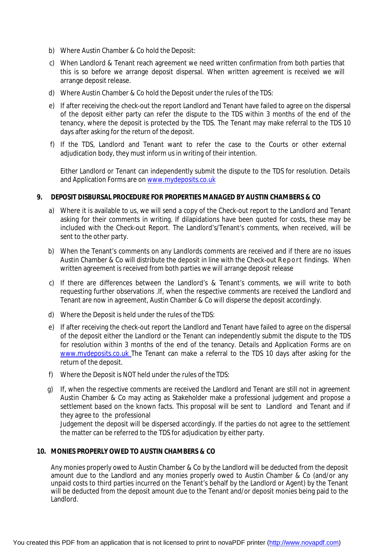- b) Where Austin Chamber & Co hold the Deposit:
- c) When Landlord & Tenant reach agreement we need written confirmation from both parties that this is so before we arrange deposit dispersal. When written agreement is received we will arrange deposit release.
- d) Where Austin Chamber & Co hold the Deposit under the rules of the TDS:
- e) If after receiving the check-out the report Landlord and Tenant have failed to agree on the dispersal of the deposit either party can refer the dispute to the TDS within 3 months of the end of the tenancy, where the deposit is protected by the TDS. The Tenant may make referral to the TDS 10 days after asking for the return of the deposit.
- f) If the TDS, Landlord and Tenant want to refer the case to the Courts or other external adjudication body, they must inform us in writing of their intention.

Either Landlord or Tenant can independently submit the dispute to the TDS for resolution. Details and Application Forms are on [www.mydeposits.co.uk](http://www.mydeposits.co.uk)

# **9. DEPOSIT DISBURSAL PROCEDURE FOR PROPERTIES MANAGED BY AUSTIN CHAMBERS & CO**

- a) Where it is available to us, we will send a copy of the Check-out report to the Landlord and Tenant asking for their comments in writing. If dilapidations have been quoted for costs, these may be included with the Check-out Report. The Landlord's/Tenant's comments, when received, will be sent to the other party.
- b) When the Tenant's comments on any Landlords comments are received and if there are no issues Austin Chamber & Co will distribute the deposit in line with the Check-out Report findings. When written agreement is received from both parties we will arrange deposit release
- c) If there are differences between the Landlord's & Tenant's comments, we will write to both requesting further observations .If, when the respective comments are received the Landlord and Tenant are now in agreement, Austin Chamber & Co will disperse the deposit accordingly.
- d) Where the Deposit is held under the rules of the TDS:
- e) If after receiving the check-out report the Landlord and Tenant have failed to agree on the dispersal of the deposit either the Landlord or the Tenant can independently submit the dispute to the TDS for resolution within 3 months of the end of the tenancy. Details and Application Forms are on [www.mydeposits.co.uk](http://www.mydeposits.co.uk) The Tenant can make a referral to the TDS 10 days after asking for the return of the deposit.
- f) Where the Deposit is NOT held under the rules of the TDS:
- g) If, when the respective comments are received the Landlord and Tenant are still not in agreement Austin Chamber & Co may acting as Stakeholder make a professional judgement and propose a settlement based on the known facts. This proposal will be sent to Landlord and Tenant and if they agree to the professional

Judgement the deposit will be dispersed accordingly. If the parties do not agree to the settlement the matter can be referred to the TDS for adjudication by either party.

#### **10. MONIES PROPERLY OWED TO AUSTIN CHAMBERS & CO**

Any monies properly owed to Austin Chamber & Co by the Landlord will be deducted from the deposit amount due to the Landlord and any monies properly owed to Austin Chamber & Co (and/or any unpaid costs to third parties incurred on the Tenant's behalf by the Landlord or Agent) by the Tenant will be deducted from the deposit amount due to the Tenant and/or deposit monies being paid to the Landlord.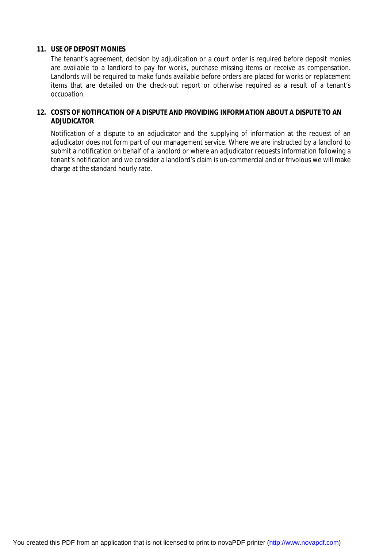# **11. USE OF DEPOSIT MONIES**

The tenant's agreement, decision by adjudication or a court order is required before deposit monies are available to a landlord to pay for works, purchase missing items or receive as compensation. Landlords will be required to make funds available before orders are placed for works or replacement items that are detailed on the check-out report or otherwise required as a result of a tenant's occupation.

# **12. COSTS OF NOTIFICATION OF A DISPUTE AND PROVIDING INFORMATION ABOUT A DISPUTE TO AN ADJUDICATOR**

Notification of a dispute to an adjudicator and the supplying of information at the request of an adjudicator does not form part of our management service. Where we are instructed by a landlord to submit a notification on behalf of a landlord or where an adjudicator requests information following a tenant's notification and we consider a landlord's claim is un-commercial and or frivolous we will make charge at the standard hourly rate.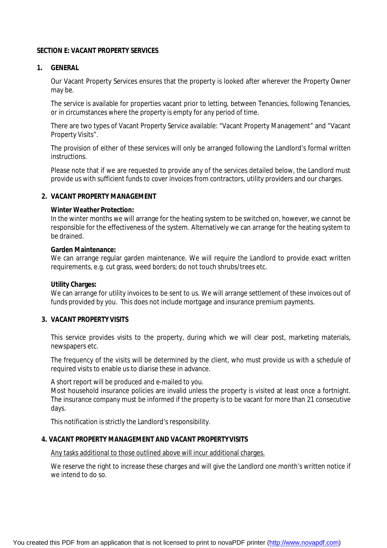### **SECTION E: VACANT PROPERTY SERVICES**

### **1. GENERAL**

Our Vacant Property Services ensures that the property is looked after wherever the Property Owner may be.

The service is available for properties vacant prior to letting, between Tenancies, following Tenancies, or in circumstances where the property is empty for any period of time.

There are two types of Vacant Property Service available: "Vacant Property Management" and "Vacant Property Visits".

The provision of either of these services will only be arranged following the Landlord's formal written instructions.

Please note that if we are requested to provide any of the services detailed below, the Landlord must provide us with sufficient funds to cover invoices from contractors, utility providers and our charges.

### **2. VACANT PROPERTY MANAGEMENT**

#### **Winter Weather Protection:**

In the winter months we will arrange for the heating system to be switched on, however, we cannot be responsible for the effectiveness of the system. Alternatively we can arrange for the heating system to be drained.

#### **Garden Maintenance:**

We can arrange regular garden maintenance. We will reguire the Landlord to provide exact written requirements, e.g. cut grass, weed borders; do not touch shrubs/trees etc.

#### **Utility Charges:**

We can arrange for utility invoices to be sent to us. We will arrange settlement of these invoices out of funds provided by you. This does not include mortgage and insurance premium payments.

# **3. VACANT PROPERTY VISITS**

This service provides visits to the property, during which we will clear post, marketing materials, newspapers etc.

The frequency of the visits will be determined by the client, who must provide us with a schedule of required visits to enable us to diarise these in advance.

A short report will be produced and e-mailed to you.

Most household insurance policies are invalid unless the property is visited at least once a fortnight. The insurance company must be informed if the property is to be vacant for more than 21 consecutive days.

This notification is strictly the Landlord's responsibility.

# **4. VACANT PROPERTY MANAGEMENT AND VACANT PROPERTYVISITS**

Any tasks additional to those outlined above will incur additional charges.

We reserve the right to increase these charges and will give the Landlord one month's written notice if we intend to do so.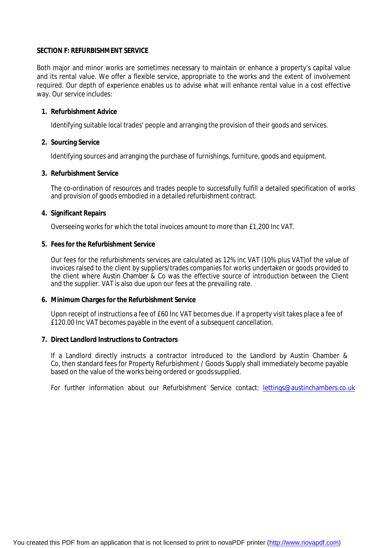#### **SECTION F: REFURBISHMENT SERVICE**

Both major and minor works are sometimes necessary to maintain or enhance a property's capital value and its rental value. We offer a flexible service, appropriate to the works and the extent of involvement required. Our depth of experience enables us to advise what will enhance rental value in a cost effective way. Our service includes:

#### **1. Refurbishment Advice**

Identifying suitable local trades' people and arranging the provision of their goods and services.

#### **2. Sourcing Service**

Identifying sources and arranging the purchase of furnishings, furniture, goods and equipment.

#### **3. Refurbishment Service**

The co-ordination of resources and trades people to successfully fulfill a detailed specification of works and provision of goods embodied in a detailed refurbishment contract.

#### **4. Significant Repairs**

Overseeing works for which the total invoices amount to more than £1,200 Inc VAT.

#### **5. Fees for the Refurbishment Service**

Our fees for the refurbishments services are calculated as 12% inc VAT (10% plus VAT)of the value of invoices raised to the client by suppliers/trades companies for works undertaken or goods provided to the client where Austin Chamber & Co was the effective source of introduction between the Client and the supplier. VAT is also due upon our fees at the prevailing rate.

#### **6. Minimum Charges for the Refurbishment Service**

Upon receipt of instructions a fee of £60 Inc VAT becomes due. If a property visit takes place a fee of £120.00 Inc VAT becomes payable in the event of a subsequent cancellation.

#### **7. Direct Landlord Instructions to Contractors**

If a Landlord directly instructs a contractor introduced to the Landlord by Austin Chamber & Co, then standard fees for Property Refurbishment / Goods Supply shall immediately become payable based on the value of the works being ordered or goodssupplied.

For further information about our Refurbishment Service contact: [lettings@austinchambers.co.uk](mailto:lettings@austinchambers.co.uk)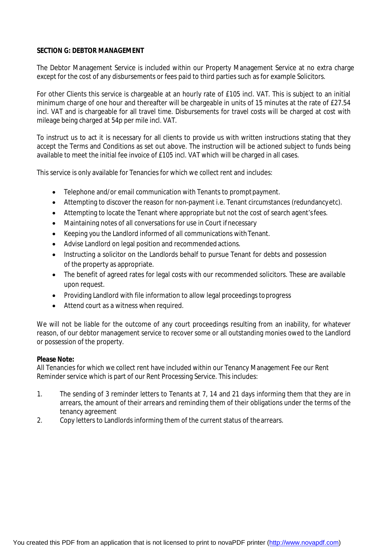# **SECTION G: DEBTOR MANAGEMENT**

The Debtor Management Service is included within our Property Management Service at no extra charge except for the cost of any disbursements or fees paid to third parties such as for example Solicitors.

For other Clients this service is chargeable at an hourly rate of £105 incl. VAT. This is subject to an initial minimum charge of one hour and thereafter will be chargeable in units of 15 minutes at the rate of £27.54 incl. VAT and is chargeable for all travel time. Disbursements for travel costs will be charged at cost with mileage being charged at 54p per mile incl. VAT.

To instruct us to act it is necessary for all clients to provide us with written instructions stating that they accept the Terms and Conditions as set out above. The instruction will be actioned subject to funds being available to meet the initial fee invoice of £105 incl. VAT which will be charged in all cases.

This service is only available for Tenancies for which we collect rent and includes:

- Telephone and/or email communication with Tenants to prompt payment.
- Attempting to discover the reason for non-payment i.e. Tenant circumstances (redundancyetc).
- Attempting to locate the Tenant where appropriate but not the cost of search agent'sfees.
- Maintaining notes of all conversations for use in Court ifnecessary
- Keeping you the Landlord informed of all communications withTenant.
- Advise Landlord on legal position and recommended actions.
- Instructing a solicitor on the Landlords behalf to pursue Tenant for debts and possession of the property as appropriate.
- The benefit of agreed rates for legal costs with our recommended solicitors. These are available upon request.
- Providing Landlord with file information to allow legal proceedings toprogress
- Attend court as a witness when required.

We will not be liable for the outcome of any court proceedings resulting from an inability, for whatever reason, of our debtor management service to recover some or all outstanding monies owed to the Landlord or possession of the property.

# **Please Note:**

All Tenancies for which we collect rent have included within our Tenancy Management Fee our Rent Reminder service which is part of our Rent Processing Service. This includes:

- 1. The sending of 3 reminder letters to Tenants at 7, 14 and 21 days informing them that they are in arrears, the amount of their arrears and reminding them of their obligations under the terms of the tenancy agreement
- 2. Copy letters to Landlords informing them of the current status of thearrears.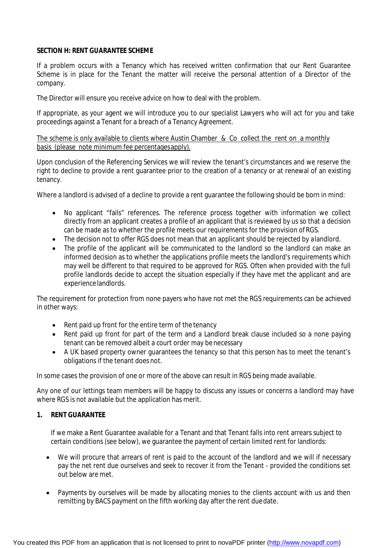# **SECTION H: RENT GUARANTEE SCHEME**

If a problem occurs with a Tenancy which has received written confirmation that our Rent Guarantee Scheme is in place for the Tenant the matter will receive the personal attention of a Director of the company.

The Director will ensure you receive advice on how to deal with the problem.

If appropriate, as your agent we will introduce you to our specialist Lawyers who will act for you and take proceedings against a Tenant for a breach of a Tenancy Agreement.

The scheme is only available to clients where Austin Chamber & Co collect the rent on a monthly basis (please note minimum fee percentagesapply).

Upon conclusion of the Referencing Services we will review the tenant's circumstances and we reserve the right to decline to provide a rent guarantee prior to the creation of a tenancy or at renewal of an existing tenancy.

Where a landlord is advised of a decline to provide a rent quarantee the following should be born in mind:

- No applicant "fails" references. The reference process together with information we collect directly from an applicant creates a profile of an applicant that is reviewed by us so that a decision can be made as to whether the profile meets our requirements for the provision ofRGS.
- The decision not to offer RGS does not mean that an applicant should be rejected by alandlord.
- The profile of the applicant will be communicated to the landlord so the landlord can make an informed decision as to whether the applications profile meets the landlord's requirements which may well be different to that required to be approved for RGS. Often when provided with the full profile landlords decide to accept the situation especially if they have met the applicant and are experiencelandlords.

The requirement for protection from none payers who have not met the RGS requirements can be achieved in other ways:

- Rent paid up front for the entire term of the tenancy
- Rent paid up front for part of the term and a Landlord break clause included so a none paying tenant can be removed albeit a court order may be necessary
- A UK based property owner guarantees the tenancy so that this person has to meet the tenant's obligations if the tenant does not.

In some cases the provision of one or more of the above can result in RGS being made available.

Any one of our lettings team members will be happy to discuss any issues or concerns a landlord may have where RGS is not available but the application has merit.

# **1. RENT GUARANTEE**

If we make a Rent Guarantee available for a Tenant and that Tenant falls into rent arrears subject to certain conditions (see below), we guarantee the payment of certain limited rent for landlords:

- We will procure that arrears of rent is paid to the account of the landlord and we will if necessary pay the net rent due ourselves and seek to recover it from the Tenant - provided the conditions set out below are met.
- Payments by ourselves will be made by allocating monies to the clients account with us and then remitting by BACS payment on the fifth working day after the rent duedate.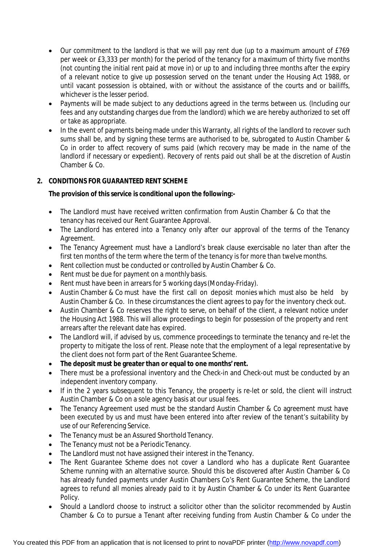- Our commitment to the landlord is that we will pay rent due (up to a maximum amount of £769 per week or £3,333 per month) for the period of the tenancy for a maximum of thirty five months (not counting the initial rent paid at move in) or up to and including three months after the expiry of a relevant notice to give up possession served on the tenant under the Housing Act 1988, or until vacant possession is obtained, with or without the assistance of the courts and or bailiffs, whichever is the lesser period.
- Payments will be made subiect to any deductions agreed in the terms between us. (Including our fees and any outstanding charges due from the landlord) which we are hereby authorized to set off or take as appropriate.
- In the event of payments being made under this Warranty, all rights of the landlord to recover such sums shall be, and by signing these terms are authorised to be, subrogated to Austin Chamber & Co in order to affect recovery of sums paid (which recovery may be made in the name of the landlord if necessary or expedient). Recovery of rents paid out shall be at the discretion of Austin Chamber & Co.

# **2. CONDITIONS FOR GUARANTEED RENT SCHEME**

# **The provision of this service is conditional upon the following:-**

- The Landlord must have received written confirmation from Austin Chamber & Co that the tenancy has received our Rent Guarantee Approval.
- The Landlord has entered into a Tenancy only after our approval of the terms of the Tenancy Agreement.
- The Tenancy Agreement must have a Landlord's break clause exercisable no later than after the first ten months of the term where the term of the tenancy is for more than twelve months.
- Rent collection must be conducted or controlled by Austin Chamber & Co.
- Rent must be due for payment on a monthly basis.
- Rent must have been in arrears for 5 working days(Monday-Friday).
- Austin Chamber & Co must have the first call on deposit monies which must also be held by Austin Chamber & Co. In these circumstances the client agrees to pay for the inventory check out.
- Austin Chamber & Co reserves the right to serve, on behalf of the client, a relevant notice under the Housing Act 1988. This will allow proceedings to begin for possession of the property and rent arrears after the relevant date has expired.
- The Landlord will, if advised by us, commence proceedings to terminate the tenancy and re-let the property to mitigate the loss of rent. Please note that the employment of a legal representative by the client does not form part of the Rent Guarantee Scheme.
- **The deposit must be greater than or equal to one months'rent.**
- There must be a professional inventory and the Check-in and Check-out must be conducted by an independent inventory company.
- If in the 2 years subsequent to this Tenancy, the property is re-let or sold, the client will instruct Austin Chamber & Co on a sole agency basis at our usual fees.
- The Tenancy Agreement used must be the standard Austin Chamber & Co agreement must have been executed by us and must have been entered into after review of the tenant's suitability by use of our Referencing Service.
- The Tenancy must be an Assured Shorthold Tenancy.
- The Tenancy must not be a Periodic Tenancy.
- The Landlord must not have assigned their interest in the Tenancy.
- The Rent Guarantee Scheme does not cover a Landlord who has a duplicate Rent Guarantee Scheme running with an alternative source. Should this be discovered after Austin Chamber & Co has already funded payments under Austin Chambers Co's Rent Guarantee Scheme, the Landlord agrees to refund all monies already paid to it by Austin Chamber & Co under its Rent Guarantee Policy.
- Should a Landlord choose to instruct a solicitor other than the solicitor recommended by Austin Chamber & Co to pursue a Tenant after receiving funding from Austin Chamber & Co under the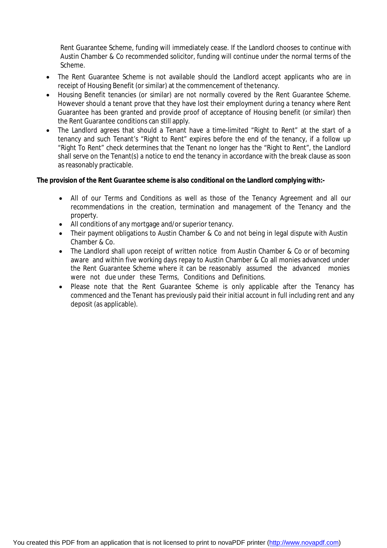Rent Guarantee Scheme, funding will immediately cease. If the Landlord chooses to continue with Austin Chamber & Co recommended solicitor, funding will continue under the normal terms of the Scheme.

- The Rent Guarantee Scheme is not available should the Landlord accept applicants who are in receipt of Housing Benefit (or similar) at the commencement of thetenancy.
- Housing Benefit tenancies (or similar) are not normally covered by the Rent Guarantee Scheme. However should a tenant prove that they have lost their employment during a tenancy where Rent Guarantee has been granted and provide proof of acceptance of Housing benefit (or similar) then the Rent Guarantee conditions can still apply.
- The Landlord agrees that should a Tenant have a time-limited "Right to Rent" at the start of a tenancy and such Tenant's "Right to Rent" expires before the end of the tenancy, if a follow up "Right To Rent" check determines that the Tenant no longer has the "Right to Rent", the Landlord shall serve on the Tenant(s) a notice to end the tenancy in accordance with the break clause as soon as reasonably practicable.

# **The provision of the Rent Guarantee scheme is also conditional on the Landlord complying with:-**

- All of our Terms and Conditions as well as those of the Tenancy Agreement and all our recommendations in the creation, termination and management of the Tenancy and the property.
- All conditions of any mortgage and/or superior tenancy.
- Their payment obligations to Austin Chamber & Co and not being in legal dispute with Austin Chamber & Co.
- The Landlord shall upon receipt of written notice from Austin Chamber & Co or of becoming aware and within five working days repay to Austin Chamber & Co all monies advanced under the Rent Guarantee Scheme where it can be reasonably assumed the advanced monies were not due under these Terms, Conditions and Definitions.
- Please note that the Rent Guarantee Scheme is only applicable after the Tenancy has commenced and the Tenant has previously paid their initial account in full including rent and any deposit (as applicable).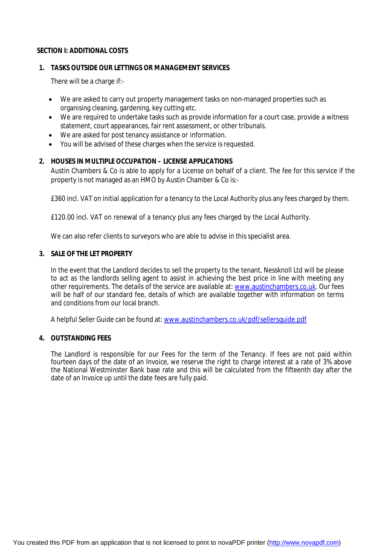# **SECTION I: ADDITIONAL COSTS**

### **1. TASKS OUTSIDE OUR LETTINGS OR MANAGEMENT SERVICES**

There will be a charge if:-

- We are asked to carry out property management tasks on non-managed properties such as organising cleaning, gardening, key cutting etc.
- We are required to undertake tasks such as provide information for a court case, provide a witness statement, court appearances, fair rent assessment, or other tribunals.
- We are asked for post tenancy assistance or information.
- You will be advised of these charges when the service is requested.

### **2. HOUSES IN MULTIPLE OCCUPATION – LICENSE APPLICATIONS**

Austin Chambers & Co is able to apply for a License on behalf of a client. The fee for this service if the property is not managed as an HMO by Austin Chamber & Co is:-

£360 incl. VAT on initial application for a tenancy to the Local Authority plus any fees charged by them.

£120.00 incl. VAT on renewal of a tenancy plus any fees charged by the Local Authority.

We can also refer clients to surveyors who are able to advise in this specialist area.

# **3. SALE OF THE LET PROPERTY**

In the event that the Landlord decides to sell the property to the tenant, Nessknoll Ltd will be please to act as the landlords selling agent to assist in achieving the best price in line with meeting any other requirements. The details of the service are available at: [www.austinchambers.co.uk.](http://www.austinchambers.co.uk.) Our fees will be half of our standard fee, details of which are available together with information on terms and conditions from our local branch.

A helpful Seller Guide can be found at: [www.austinchambers.co.uk/pdf/sellersguide.pdf](http://www.austinchambers.co.uk/pdf/sellersguide.pdf)

#### **4. OUTSTANDING FEES**

The Landlord is responsible for our Fees for the term of the Tenancy. If fees are not paid within fourteen days of the date of an Invoice, we reserve the right to charge interest at a rate of 3% above the National Westminster Bank base rate and this will be calculated from the fifteenth day after the date of an Invoice up until the date fees are fully paid.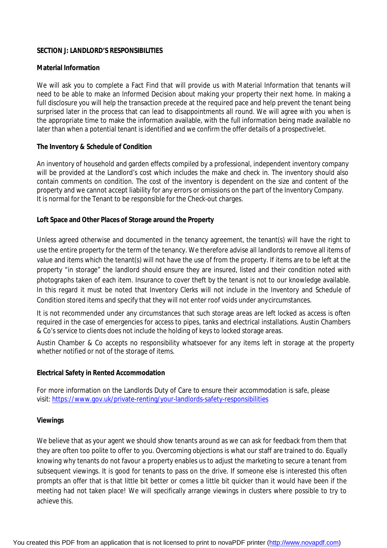# **SECTION J: LANDLORD'S RESPONSIBILITIES**

# **Material Information**

We will ask you to complete a Fact Find that will provide us with Material Information that tenants will need to be able to make an Informed Decision about making your property their next home. In making a full disclosure you will help the transaction precede at the required pace and help prevent the tenant being surprised later in the process that can lead to disappointments all round. We will agree with you when is the appropriate time to make the information available, with the full information being made available no later than when a potential tenant is identified and we confirm the offer details of a prospectivelet.

# **The Inventory & Schedule of Condition**

An inventory of household and garden effects compiled by a professional, independent inventory company will be provided at the Landlord's cost which includes the make and check in. The inventory should also contain comments on condition. The cost of the inventory is dependent on the size and content of the property and we cannot accept liability for any errors or omissions on the part of the Inventory Company. It is normal for the Tenant to be responsible for the Check-out charges.

#### **Loft Space and Other Places of Storage around the Property**

Unless agreed otherwise and documented in the tenancy agreement, the tenant(s) will have the right to use the entire property for the term of the tenancy. We therefore advise all landlords to remove all items of value and items which the tenant(s) will not have the use of from the property. If items are to be left at the property "in storage" the landlord should ensure they are insured, listed and their condition noted with photographs taken of each item. Insurance to cover theft by the tenant is not to our knowledge available. In this regard it must be noted that Inventory Clerks will not include in the Inventory and Schedule of Condition stored items and specify that they will not enter roof voids under anycircumstances.

It is not recommended under any circumstances that such storage areas are left locked as access is often required in the case of emergencies for access to pipes, tanks and electrical installations. Austin Chambers & Co's service to clients does not include the holding of keys to locked storage areas.

Austin Chamber & Co accepts no responsibility whatsoever for any items left in storage at the property whether notified or not of the storage of items.

#### **Electrical Safety in Rented Accommodation**

For more information on the Landlords Duty of Care to ensure their accommodation is safe, please visit:<https://www.gov.uk/private-renting/your-landlords-safety-responsibilities>

#### **Viewings**

We believe that as your agent we should show tenants around as we can ask for feedback from them that they are often too polite to offer to you. Overcoming objections is what our staff are trained to do. Equally knowing why tenants do not favour a property enables us to adjust the marketing to secure a tenant from subsequent viewings. It is good for tenants to pass on the drive. If someone else is interested this often prompts an offer that is that little bit better or comes a little bit quicker than it would have been if the meeting had not taken place! We will specifically arrange viewings in clusters where possible to try to achieve this.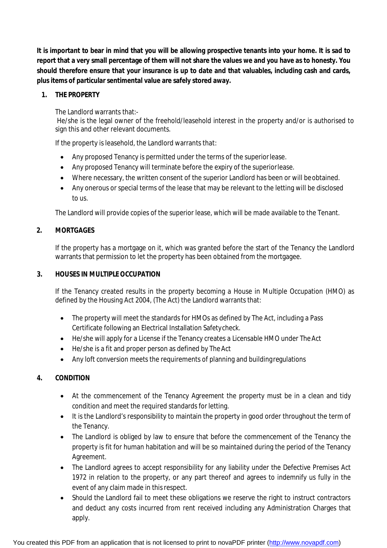**It is important to bear in mind that you will be allowing prospective tenants into your home. It is sad to report that a very small percentage of them will not share the values we and you have as to honesty. You should therefore ensure that your insurance is up to date and that valuables, including cash and cards, plus items of particular sentimental value are safely stored away.**

# **1. THE PROPERTY**

The Landlord warrants that:-

He/she is the legal owner of the freehold/leasehold interest in the property and/or is authorised to sign this and other relevant documents.

If the property is leasehold, the Landlord warrants that:

- Any proposed Tenancy is permitted under the terms of the superiorlease.
- Any proposed Tenancy will terminate before the expiry of the superiorlease.
- Where necessary, the written consent of the superior Landlord has been or will beobtained.
- Any onerous or special terms of the lease that may be relevant to the letting will be disclosed to us.

The Landlord will provide copies of the superior lease, which will be made available to the Tenant.

# **2. MORTGAGES**

If the property has a mortgage on it, which was granted before the start of the Tenancy the Landlord warrants that permission to let the property has been obtained from the mortgagee.

# **3. HOUSES IN MULTIPLEOCCUPATION**

If the Tenancy created results in the property becoming a House in Multiple Occupation (HMO) as defined by the Housing Act 2004, (The Act) the Landlord warrants that:

- The property will meet the standards for HMOs as defined by The Act, including a Pass Certificate following an Electrical Installation Safetycheck.
- He/she will apply for a License if the Tenancy creates a Licensable HMO under TheAct
- He/she is a fit and proper person as defined by The Act
- Any loft conversion meets the requirements of planning and buildingregulations

# **4. CONDITION**

- At the commencement of the Tenancy Agreement the property must be in a clean and tidy condition and meet the required standards for letting.
- It is the Landlord's responsibility to maintain the property in good order throughout the term of the Tenancy.
- The Landlord is obliged by law to ensure that before the commencement of the Tenancy the property is fit for human habitation and will be so maintained during the period of the Tenancy Agreement.
- The Landlord agrees to accept responsibility for any liability under the Defective Premises Act 1972 in relation to the property, or any part thereof and agrees to indemnify us fully in the event of any claim made in thisrespect.
- Should the Landlord fail to meet these obligations we reserve the right to instruct contractors and deduct any costs incurred from rent received including any Administration Charges that apply.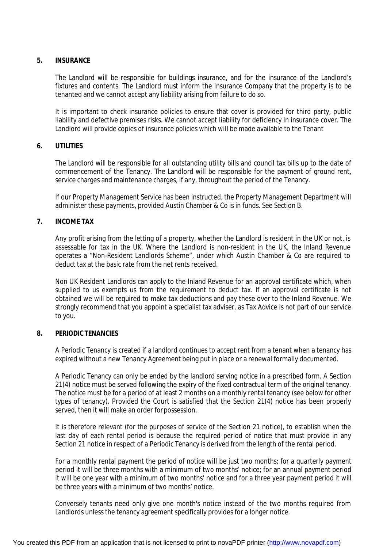#### **5. INSURANCE**

The Landlord will be responsible for buildings insurance, and for the insurance of the Landlord's fixtures and contents. The Landlord must inform the Insurance Company that the property is to be tenanted and we cannot accept any liability arising from failure to do so.

It is important to check insurance policies to ensure that cover is provided for third party, public liability and defective premises risks. We cannot accept liability for deficiency in insurance cover. The Landlord will provide copies of insurance policies which will be made available to the Tenant

#### **6. UTILITIES**

The Landlord will be responsible for all outstanding utility bills and council tax bills up to the date of commencement of the Tenancy. The Landlord will be responsible for the payment of ground rent, service charges and maintenance charges, if any, throughout the period of the Tenancy.

If our Property Management Service has been instructed, the Property Management Department will administer these payments, provided Austin Chamber & Co is in funds. See Section B.

#### **7. INCOME TAX**

Any profit arising from the letting of a property, whether the Landlord is resident in the UK or not, is assessable for tax in the UK. Where the Landlord is non-resident in the UK, the Inland Revenue operates a "Non-Resident Landlords Scheme", under which Austin Chamber & Co are required to deduct tax at the basic rate from the net rents received.

Non UK Resident Landlords can apply to the Inland Revenue for an approval certificate which, when supplied to us exempts us from the requirement to deduct tax. If an approval certificate is not obtained we will be required to make tax deductions and pay these over to the Inland Revenue. We strongly recommend that you appoint a specialist tax adviser, as Tax Advice is not part of our service to you.

#### **8. PERIODIC TENANCIES**

A Periodic Tenancy is created if a landlord continues to accept rent from a tenant when a tenancy has expired without a new Tenancy Agreement being put in place or a renewal formally documented.

A Periodic Tenancy can only be ended by the landlord serving notice in a prescribed form. A Section 21(4) notice must be served following the expiry of the fixed contractual term of the original tenancy. The notice must be for a period of at least 2 months on a monthly rental tenancy (see below for other types of tenancy). Provided the Court is satisfied that the Section 21(4) notice has been properly served, then it will make an order for possession.

It is therefore relevant (for the purposes of service of the Section 21 notice), to establish when the last day of each rental period is because the required period of notice that must provide in any Section 21 notice in respect of a Periodic Tenancy is derived from the length of the rental period.

For a monthly rental payment the period of notice will be just two months; for a quarterly payment period it will be three months with a minimum of two months' notice; for an annual payment period it will be one year with a minimum of two months' notice and for a three year payment period it will be three years with a minimum of two months' notice.

Conversely tenants need only give one month's notice instead of the two months required from Landlords unless the tenancy agreement specifically provides for a longer notice.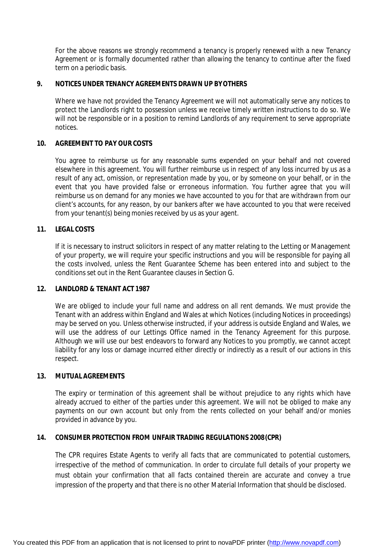For the above reasons we strongly recommend a tenancy is properly renewed with a new Tenancy Agreement or is formally documented rather than allowing the tenancy to continue after the fixed term on a periodic basis.

### **9. NOTICES UNDER TENANCY AGREEMENTS DRAWN UP BYOTHERS**

Where we have not provided the Tenancy Agreement we will not automatically serve any notices to protect the Landlords right to possession unless we receive timely written instructions to do so. We will not be responsible or in a position to remind Landlords of any requirement to serve appropriate notices.

# **10. AGREEMENT TO PAY OUR COSTS**

You agree to reimburse us for any reasonable sums expended on your behalf and not covered elsewhere in this agreement. You will further reimburse us in respect of any loss incurred by us as a result of any act, omission, or representation made by you, or by someone on your behalf, or in the event that you have provided false or erroneous information. You further agree that you will reimburse us on demand for any monies we have accounted to you for that are withdrawn from our client's accounts, for any reason, by our bankers after we have accounted to you that were received from your tenant(s) being monies received by us as your agent.

# **11. LEGAL COSTS**

If it is necessary to instruct solicitors in respect of any matter relating to the Letting or Management of your property, we will require your specific instructions and you will be responsible for paying all the costs involved, unless the Rent Guarantee Scheme has been entered into and subject to the conditions set out in the Rent Guarantee clauses in Section G.

# **12. LANDLORD & TENANT ACT 1987**

We are obliged to include your full name and address on all rent demands. We must provide the Tenant with an address within England and Wales at which Notices (including Notices in proceedings) may be served on you. Unless otherwise instructed, if your address is outside England and Wales, we will use the address of our Lettings Office named in the Tenancy Agreement for this purpose. Although we will use our best endeavors to forward any Notices to you promptly, we cannot accept liability for any loss or damage incurred either directly or indirectly as a result of our actions in this respect.

# **13. MUTUAL AGREEMENTS**

The expiry or termination of this agreement shall be without prejudice to any rights which have already accrued to either of the parties under this agreement. We will not be obliged to make any payments on our own account but only from the rents collected on your behalf and/or monies provided in advance by you.

# **14. CONSUMER PROTECTION FROM UNFAIR TRADING REGULATIONS 2008(CPR)**

The CPR requires Estate Agents to verify all facts that are communicated to potential customers, irrespective of the method of communication. In order to circulate full details of your property we must obtain your confirmation that all facts contained therein are accurate and convey a true impression of the property and that there is no other Material Information that should be disclosed.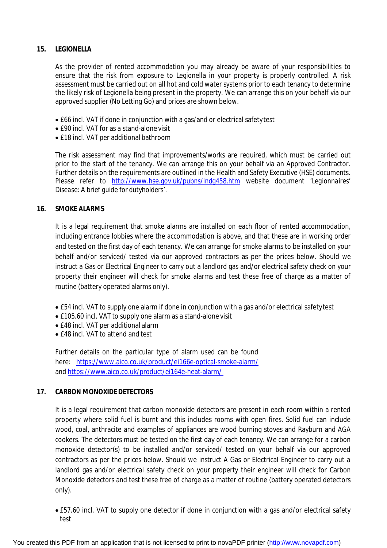# **15. LEGIONELLA**

As the provider of rented accommodation you may already be aware of your responsibilities to ensure that the risk from exposure to Legionella in your property is properly controlled. A risk assessment must be carried out on all hot and cold water systems prior to each tenancy to determine the likely risk of Legionella being present in the property. We can arrange this on your behalf via our approved supplier (No Letting Go) and prices are shown below.

- £66 incl. VAT if done in conjunction with a gas/and or electrical safetytest
- £90 incl. VAT for as a stand-alone visit
- £18 incl. VAT per additional bathroom

The risk assessment may find that improvements/works are required, which must be carried out prior to the start of the tenancy. We can arrange this on your behalf via an Approved Contractor. Further details on the requirements are outlined in the Health and Safety Executive (HSE) documents. Please refer to <http://www.hse.gov.uk/pubns/indg458.htm> website document 'Legionnaires' *Disease: A brief guide for dutyholders'.*

# **16. SMOKE ALARMS**

It is a legal requirement that smoke alarms are installed on each floor of rented accommodation, including entrance lobbies where the accommodation is above, and that these are in working order and tested on the first day of each tenancy. We can arrange for smoke alarms to be installed on your behalf and/or serviced/ tested via our approved contractors as per the prices below. Should we instruct a Gas or Electrical Engineer to carry out a landlord gas and/or electrical safety check on your property their engineer will check for smoke alarms and test these free of charge as a matter of routine (battery operated alarms only).

- £54 incl. VAT to supply one alarm if done in conjunction with a gas and/or electrical safetytest
- £105.60 incl. VAT to supply one alarm as a stand-alone visit
- £48 incl. VAT per additional alarm
- £48 incl. VAT to attend and test

Further details on the particular type of alarm used can be found here: <https://www.aico.co.uk/product/ei166e-optical-smoke-alarm/> and<https://www.aico.co.uk/product/ei164e-heat-alarm/>

# **17. CARBON MONOXIDE DETECTORS**

It is a legal requirement that carbon monoxide detectors are present in each room within a rented property where solid fuel is burnt and this includes rooms with open fires. Solid fuel can include wood, coal, anthracite and examples of appliances are wood burning stoves and Rayburn and AGA cookers. The detectors must be tested on the first day of each tenancy. We can arrange for a carbon monoxide detector(s) to be installed and/or serviced/ tested on your behalf via our approved contractors as per the prices below. Should we instruct A Gas or Electrical Engineer to carry out a landlord gas and/or electrical safety check on your property their engineer will check for Carbon Monoxide detectors and test these free of charge as a matter of routine (battery operated detectors only).

 £57.60 incl. VAT to supply one detector if done in conjunction with a gas and/or electrical safety test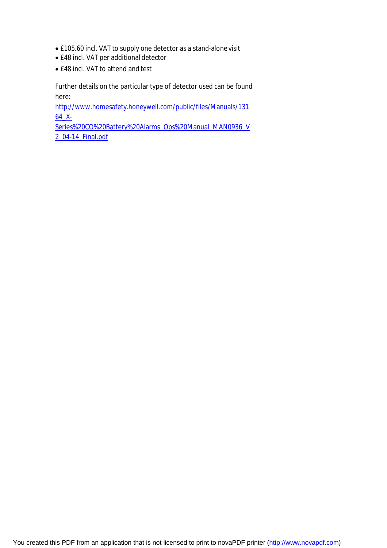- £105.60 incl. VAT to supply one detector as a stand-alone visit
- £48 incl. VAT per additional detector
- £48 incl. VAT to attend and test

Further details on the particular type of detector used can be found here:

<http://www.homesafety.honeywell.com/public/files/Manuals/131> 64\_X-

Series%20CO%20Battery%20Alarms\_Ops%20Manual\_MAN0936\_V 2\_04-14\_Final.pdf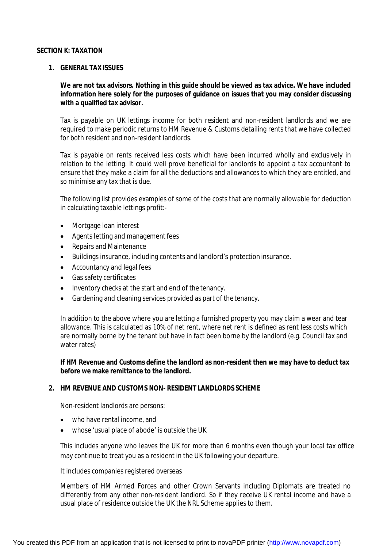#### **SECTION K: TAXATION**

#### **1. GENERAL TAX ISSUES**

**We are not tax advisors. Nothing in this guide should be viewed as tax advice. We have included information here solely for the purposes of guidance on issues that you may consider discussing with a qualified tax advisor.**

Tax is payable on UK lettings income for both resident and non-resident landlords and we are required to make periodic returns to HM Revenue & Customs detailing rents that we have collected for both resident and non-resident landlords.

Tax is payable on rents received less costs which have been incurred wholly and exclusively in relation to the letting. It could well prove beneficial for landlords to appoint a tax accountant to ensure that they make a claim for all the deductions and allowances to which they are entitled, and so minimise any tax that is due.

The following list provides examples of some of the costs that are normally allowable for deduction in calculating taxable lettings profit:-

- Mortgage loan interest
- Agents letting and management fees
- Repairs and Maintenance
- Buildings insurance, including contents and landlord's protection insurance.
- Accountancy and legal fees
- Gas safety certificates
- Inventory checks at the start and end of the tenancy.
- Gardening and cleaning services provided as part of the tenancy.

In addition to the above where you are letting a furnished property you may claim a wear and tear allowance. This is calculated as 10% of net rent, where net rent is defined as rent less costs which are normally borne by the tenant but have in fact been borne by the landlord (e.g. Council tax and water rates)

**If HM Revenue and Customs define the landlord as non-resident then we may have to deduct tax before we make remittance to the landlord.**

# **2. HM REVENUE AND CUSTOMS NON- RESIDENT LANDLORDS SCHEME**

Non-resident landlords are persons:

- who have rental income, and
- whose 'usual place of abode' is outside the UK

This includes anyone who leaves the UK for more than 6 months even though your local tax office may continue to treat you as a resident in the UK following your departure.

It includes companies registered overseas

Members of HM Armed Forces and other Crown Servants including Diplomats are treated no differently from any other non-resident landlord. So if they receive UK rental income and have a usual place of residence outside the UK the NRL Scheme applies to them.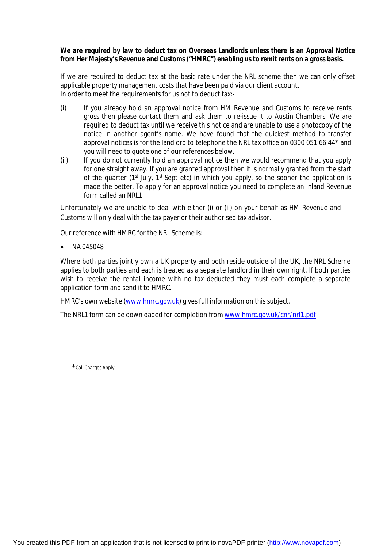### **We are required by law to deduct tax on Overseas Landlords unless there is an Approval Notice from Her Majesty's Revenue and Customs ("HMRC") enabling us to remit rents on a gross basis.**

If we are required to deduct tax at the basic rate under the NRL scheme then we can only offset applicable property management costs that have been paid via our client account. In order to meet the requirements for us not to deduct tax:-

- (i) If you already hold an approval notice from HM Revenue and Customs to receive rents gross then please contact them and ask them to re-issue it to Austin Chambers. We are required to deduct tax until we receive this notice and are unable to use a photocopy of the notice in another agent's name. We have found that the quickest method to transfer approval notices is for the landlord to telephone the NRL tax office on 0300 051 66 44\* and you will need to quote one of our references below.
- (ii) If you do not currently hold an approval notice then we would recommend that you apply for one straight away. If you are granted approval then it is normally granted from the start of the quarter ( $1<sup>st</sup>$  July,  $1<sup>st</sup>$  Sept etc) in which you apply, so the sooner the application is made the better. To apply for an approval notice you need to complete an Inland Revenue form called an NRL1.

Unfortunately we are unable to deal with either (i) or (ii) on your behalf as HM Revenue and Customs will only deal with the tax payer or their authorised tax advisor.

Our reference with HMRC for the NRL Scheme is:

NA 045048

Where both parties jointly own a UK property and both reside outside of the UK, the NRL Scheme applies to both parties and each is treated as a separate landlord in their own right. If both parties wish to receive the rental income with no tax deducted they must each complete a separate application form and send it to HMRC.

HMRC's own website [\(www.hmrc.gov.uk\)](http://www.hmrc.gov.uk)) gives full information on this subject.

The NRL1 form can be downloaded for completion from [www.hmrc.gov.uk/cnr/nrl1.pdf](http://www.hmrc.gov.uk/cnr/nrl1.pdf)

\*Call Charges Apply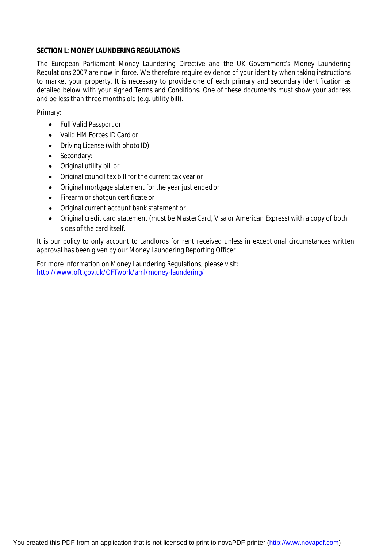# **SECTION L: MONEY LAUNDERING REGULATIONS**

The European Parliament Money Laundering Directive and the UK Government's Money Laundering Regulations 2007 are now in force. We therefore require evidence of your identity when taking instructions to market your property. It is necessary to provide one of each primary and secondary identification as detailed below with your signed Terms and Conditions. One of these documents must show your address and be less than three months old (e.g. utility bill).

Primary:

- Full Valid Passport or
- Valid HM Forces ID Card or
- Driving License (with photo ID).
- Secondary:
- Original utility bill or
- Original council tax bill for the current tax year or
- Original mortgage statement for the year just ended or
- Firearm or shotgun certificate or
- Original current account bank statement or
- Original credit card statement (must be MasterCard, Visa or American Express) with a copy of both sides of the card itself.

It is our policy to only account to Landlords for rent received unless in exceptional circumstances written approval has been given by our Money Laundering Reporting Officer

For more information on Money Laundering Regulations, please visit: <http://www.oft.gov.uk/OFTwork/aml/money-laundering/>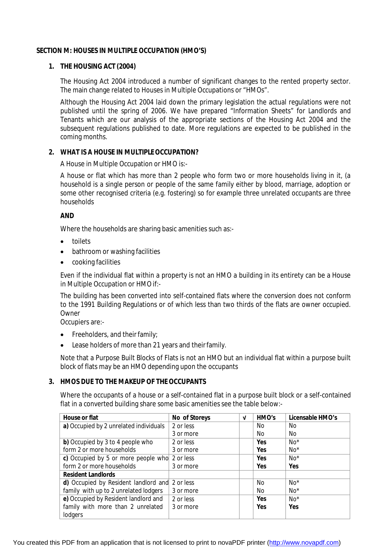# **SECTION M: HOUSES IN MULTIPLE OCCUPATION (HMO'S)**

# **1. THE HOUSING ACT (2004)**

The Housing Act 2004 introduced a number of significant changes to the rented property sector. The main change related to Houses in Multiple Occupations or "HMOs".

Although the Housing Act 2004 laid down the primary legislation the actual regulations were not published until the spring of 2006. We have prepared "Information Sheets" for Landlords and Tenants which are our analysis of the appropriate sections of the Housing Act 2004 and the subsequent regulations published to date. More regulations are expected to be published in the coming months.

# 2. **WHAT IS A HOUSE IN MULTIPLE OCCUPATION?**

A House in Multiple Occupation or HMO is:-

A house or flat which has more than 2 people who form two or more households living in it, (a household is a single person or people of the same family either by blood, marriage, adoption or some other recognised criteria (e.g. fostering) so for example three unrelated occupants are three households

# **AND**

Where the households are sharing basic amenities such as:-

- toilets
- bathroom or washing facilities
- cooking facilities

Even if the individual flat within a property is not an HMO a building in its entirety can be a House in Multiple Occupation or HMOif:-

The building has been converted into self-contained flats where the conversion does not conform to the 1991 Building Regulations or of which less than two thirds of the flats are owner occupied. **Owner** 

Occupiers are:-

- $\bullet$  Freeholders, and their family;
- Lease holders of more than 21 years and theirfamily.

Note that a Purpose Built Blocks of Flats is not an HMO but an individual flat within a purpose built block of flats may be an HMO depending upon the occupants

# **3. HMOS DUE TO THE MAKEUP OF THEOCCUPANTS**

Where the occupants of a house or a self-contained flat in a purpose built block or a self-contained flat in a converted building share some basic amenities see the table below:-

| <b>House or flat</b>                   | No of Storeys | V | HMO's      | Licensable HMO's |
|----------------------------------------|---------------|---|------------|------------------|
| a) Occupied by 2 unrelated individuals | 2 or less     |   | No.        | No.              |
|                                        | 3 or more     |   | No.        | No.              |
| b) Occupied by 3 to 4 people who       | 2 or less     |   | Yes        | $No*$            |
| form 2 or more households              | 3 or more     |   | Yes        | $No*$            |
| c) Occupied by 5 or more people who    | 2 or less     |   | <b>Yes</b> | $No*$            |
| form 2 or more households              | 3 or more     |   | <b>Yes</b> | <b>Yes</b>       |
| <b>Resident Landlords</b>              |               |   |            |                  |
| d) Occupied by Resident landlord and   | 2 or less     |   | No.        | $No*$            |
| family with up to 2 unrelated lodgers  | 3 or more     |   | No.        | $No*$            |
| e) Occupied by Resident landlord and   | 2 or less     |   | Yes        | $No*$            |
| family with more than 2 unrelated      | 3 or more     |   | Yes        | Yes              |
| lodgers                                |               |   |            |                  |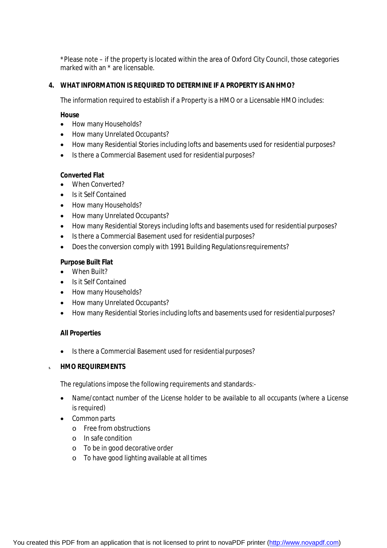\*Please note – if the property is located within the area of Oxford City Council, those categories marked with an \* are licensable.

# **4. WHAT INFORMATION IS REQUIRED TO DETERMINE IF A PROPERTY IS ANHMO?**

The information required to establish if a Property is a HMO or a Licensable HMO includes:

### **House**

- How many Households?
- How many Unrelated Occupants?
- How many Residential Stories including lofts and basements used for residential purposes?
- Is there a Commercial Basement used for residential purposes?

# **Converted Flat**

- When Converted?
- Is it Self Contained
- How many Households?
- How many Unrelated Occupants?
- How many Residential Storeys including lofts and basements used for residential purposes?
- Is there a Commercial Basement used for residential purposes?
- Does the conversion comply with 1991 Building Regulationsrequirements?

# **Purpose Built Flat**

- When Built?
- Is it Self Contained
- How many Households?
- How many Unrelated Occupants?
- How many Residential Stories including lofts and basements used for residentialpurposes?

# **All Properties**

• Is there a Commercial Basement used for residential purposes?

# **5. HMO REQUIREMENTS**

The regulations impose the following requirements and standards:-

- Name/contact number of the License holder to be available to all occupants (where a License is required)
- Common parts
	- o Free from obstructions
	- o In safe condition
	- o To be in good decorative order
	- o To have good lighting available at alltimes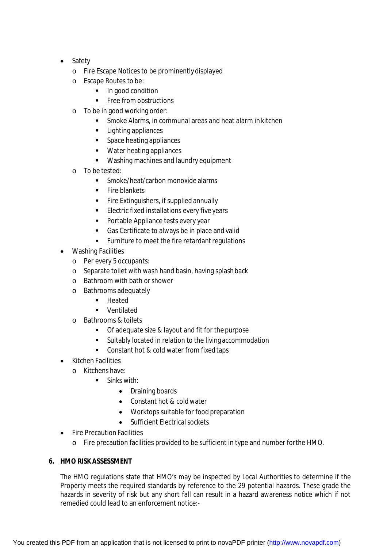- Safety
	- o Fire Escape Notices to be prominentlydisplayed
	- o Escape Routes to be:
		- In good condition
		- Free from obstructions
	- o To be in good working order:
		- Smoke Alarms, in communal areas and heat alarm in kitchen
		- **Lighting appliances**
		- **Space heating appliances**
		- **Water heating appliances**
		- Washing machines and laundry equipment
	- o To be tested:
		- Smoke/heat/carbon monoxide alarms
		- Fire blankets
		- Fire Extinguishers, if supplied annually
		- Electric fixed installations every five years
		- **Portable Appliance tests every year**
		- Gas Certificate to always be in place and valid
		- **Furniture to meet the fire retardant regulations**
- Washing Facilities
	- o Per every 5 occupants:
	- o Separate toilet with wash hand basin, having splashback
	- o Bathroom with bath orshower
	- o Bathrooms adequately
		- **-** Heated
		- Ventilated
	- o Bathrooms & toilets
		- Of adequate size & layout and fit for the purpose
		- Suitably located in relation to the living accommodation
		- Constant hot & cold water from fixed taps
- Kitchen Facilities
	- o Kitchens have:
		- **Sinks with:** 
			- Draining boards
			- Constant hot & cold water
			- Worktops suitable for food preparation
			- Sufficient Electrical sockets
- Fire Precaution Facilities
	- o Fire precaution facilities provided to be sufficient in type and number forthe HMO.

# **6. HMO RISK ASSESSMENT**

The HMO regulations state that HMO's may be inspected by Local Authorities to determine if the Property meets the required standards by reference to the 29 potential hazards. These grade the hazards in severity of risk but any short fall can result in a hazard awareness notice which if not remedied could lead to an enforcement notice:-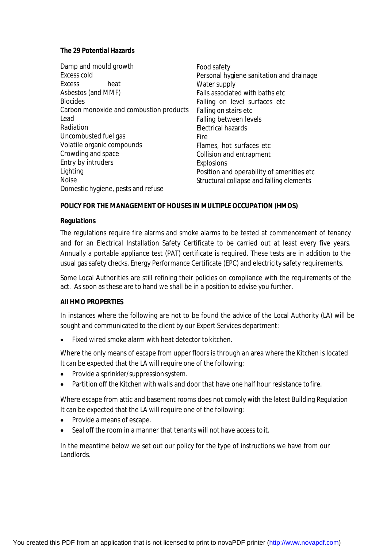### **The 29 Potential Hazards**

| Damp and mould growth                   | Food safety                               |
|-----------------------------------------|-------------------------------------------|
| Excess cold                             | Personal hygiene sanitation and drainage  |
| Excess<br>heat                          | Water supply                              |
| Asbestos (and MMF)                      | Falls associated with baths etc           |
| <b>Biocides</b>                         | Falling on level surfaces etc             |
| Carbon monoxide and combustion products | Falling on stairs etc                     |
| Lead                                    | Falling between levels                    |
| Radiation                               | <b>Electrical hazards</b>                 |
| Uncombusted fuel gas                    | Fire                                      |
| Volatile organic compounds              | Flames, hot surfaces etc                  |
| Crowding and space                      | Collision and entrapment                  |
| Entry by intruders                      | <b>Explosions</b>                         |
| Lighting                                | Position and operability of amenities etc |
| <b>Noise</b>                            | Structural collapse and falling elements  |
| Domestic hygiene, pests and refuse      |                                           |

# **POLICY FOR THE MANAGEMENT OF HOUSES IN MULTIPLE OCCUPATION (HMOS)**

#### **Regulations**

The regulations require fire alarms and smoke alarms to be tested at commencement of tenancy and for an Electrical Installation Safety Certificate to be carried out at least every five years. Annually a portable appliance test (PAT) certificate is required. These tests are in addition to the usual gas safety checks, Energy Performance Certificate (EPC) and electricity safety requirements.

Some Local Authorities are still refining their policies on compliance with the requirements of the act. As soon as these are to hand we shall be in a position to advise you further.

# **All HMO PROPERTIES**

In instances where the following are not to be found the advice of the Local Authority (LA) will be sought and communicated to the client by our Expert Services department:

• Fixed wired smoke alarm with heat detector to kitchen.

Where the only means of escape from upper floors is through an area where the Kitchen is located It can be expected that the LA will require one of the following:

- Provide a sprinkler/suppression system.
- Partition off the Kitchen with walls and door that have one half hour resistance tofire.

Where escape from attic and basement rooms does not comply with the latest Building Regulation It can be expected that the LA will require one of the following:

- Provide a means of escape.
- Seal off the room in a manner that tenants will not have access toit.

In the meantime below we set out our policy for the type of instructions we have from our Landlords.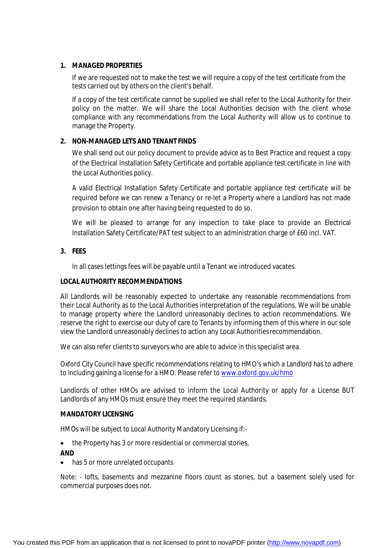# **1. MANAGED PROPERTIES**

If we are requested not to make the test we will require a copy of the test certificate from the tests carried out by others on the client's behalf.

If a copy of the test certificate cannot be supplied we shall refer to the Local Authority for their policy on the matter. We will share the Local Authorities decision with the client whose compliance with any recommendations from the Local Authority will allow us to continue to manage the Property.

# **2. NON-MANAGED LETS AND TENANT FINDS**

We shall send out our policy document to provide advice as to Best Practice and request a copy of the Electrical Installation Safety Certificate and portable appliance test certificate in line with the Local Authorities policy.

A valid Electrical Installation Safety Certificate and portable appliance test certificate will be required before we can renew a Tenancy or re-let a Property where a Landlord has not made provision to obtain one after having being requested to do so.

We will be pleased to arrange for any inspection to take place to provide an Electrical Installation Safety Certificate/PAT test subject to an administration charge of £60 incl. VAT.

# **3. FEES**

In all cases lettings fees will be payable until a Tenant we introduced vacates.

# **LOCAL AUTHORITY RECOMMENDATIONS**

All Landlords will be reasonably expected to undertake any reasonable recommendations from their Local Authority as to the Local Authorities interpretation of the regulations. We will be unable to manage property where the Landlord unreasonably declines to action recommendations. We reserve the right to exercise our duty of care to Tenants by informing them of this where in our sole view the Landlord unreasonably declines to action any Local Authoritiesrecommendation.

We can also refer clients to surveyors who are able to advice in this specialist area.

Oxford City Council have specific recommendations relating to HMO's which a Landlord has to adhere to including gaining a license for a HMO. Please refer to [www.oxford.gov.uk/hmo](http://www.oxford.gov.uk/hmo)

Landlords of other HMOs are advised to inform the Local Authority or apply for a License BUT Landlords of any HMOs must ensure they meet the required standards.

# **MANDATORY LICENSING**

HMOs will be subject to Local Authority Mandatory Licensing if:-

• the Property has 3 or more residential or commercial stories,

# **AND**

• has 5 or more unrelated occupants

Note: - lofts, basements and mezzanine floors count as stories, but a basement solely used for commercial purposes does not.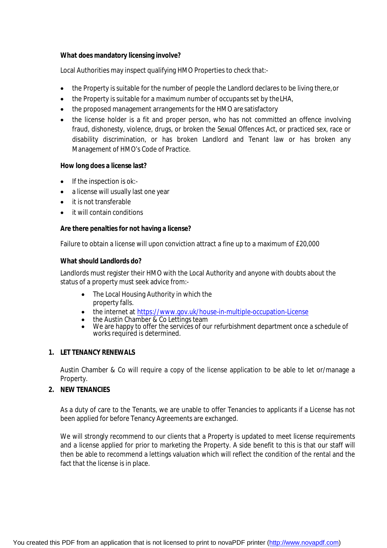# **What does mandatory licensing involve?**

Local Authorities may inspect qualifying HMO Properties to check that:-

- the Property is suitable for the number of people the Landlord declares to be living there,or
- the Property is suitable for a maximum number of occupants set by the LHA,
- the proposed management arrangements for the HMO are satisfactory
- the license holder is a fit and proper person, who has not committed an offence involving fraud, dishonesty, violence, drugs, or broken the Sexual Offences Act, or practiced sex, race or disability discrimination, or has broken Landlord and Tenant law or has broken any Management of HMO's Code of Practice.

# **How long does a license last?**

- $\bullet$  If the inspection is ok:-
- a license will usually last one year
- it is not transferable
- it will contain conditions

# **Are there penalties for not having a license?**

Failure to obtain a license will upon conviction attract a fine up to a maximum of £20,000

#### **What should Landlords do?**

Landlords must register their HMO with the Local Authority and anyone with doubts about the status of a property must seek advice from:-

- The Local Housing Authority in which the property falls.
- the internet at <https://www.gov.uk/house-in-multiple-occupation-License>
- the Austin Chamber & Co Lettings team
- We are happy to offer the services of our refurbishment department once a schedule of works required is determined.

# **1. LET TENANCY RENEWALS**

Austin Chamber & Co will require a copy of the license application to be able to let or/manage a Property.

# **2. NEW TENANCIES**

As a duty of care to the Tenants, we are unable to offer Tenancies to applicants if a License has not been applied for before Tenancy Agreements are exchanged.

We will strongly recommend to our clients that a Property is updated to meet license requirements and a license applied for prior to marketing the Property. A side benefit to this is that our staff will then be able to recommend a lettings valuation which will reflect the condition of the rental and the fact that the license is in place.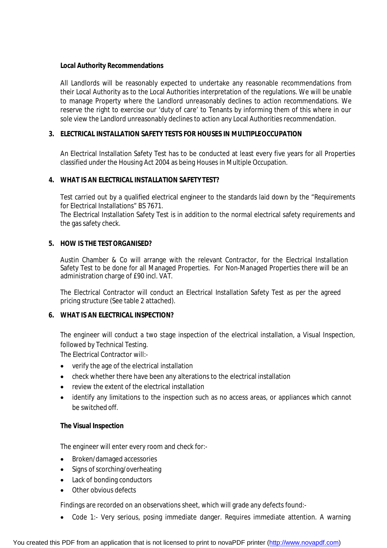### **Local Authority Recommendations**

All Landlords will be reasonably expected to undertake any reasonable recommendations from their Local Authority as to the Local Authorities interpretation of the regulations. We will be unable to manage Property where the Landlord unreasonably declines to action recommendations. We reserve the right to exercise our 'duty of care' to Tenants by informing them of this where in our sole view the Landlord unreasonably declines to action any Local Authorities recommendation.

# **3. ELECTRICAL INSTALLATION SAFETY TESTS FOR HOUSES IN MULTIPLEOCCUPATION**

An Electrical Installation Safety Test has to be conducted at least every five years for all Properties classified under the Housing Act 2004 as being Houses in Multiple Occupation.

# **4. WHAT IS AN ELECTRICAL INSTALLATION SAFETY TEST?**

Test carried out by a qualified electrical engineer to the standards laid down by the "Requirements for Electrical Installations" BS 7671.

The Electrical Installation Safety Test is in addition to the normal electrical safety requirements and the gas safety check.

# **5. HOW IS THE TESTORGANISED?**

Austin Chamber & Co will arrange with the relevant Contractor, for the Electrical Installation Safety Test to be done for all Managed Properties. For Non-Managed Properties there will be an administration charge of £90 incl. VAT.

The Electrical Contractor will conduct an Electrical Installation Safety Test as per the agreed pricing structure (See table 2 attached).

# **6. WHAT IS AN ELECTRICAL INSPECTION?**

The engineer will conduct a two stage inspection of the electrical installation, a Visual Inspection, followed by Technical Testing.

The Electrical Contractor will:-

- verify the age of the electrical installation
- check whether there have been any alterations to the electrical installation
- review the extent of the electrical installation
- identify any limitations to the inspection such as no access areas, or appliances which cannot be switched off.

# **The Visual Inspection**

The engineer will enter every room and check for:-

- Broken/damaged accessories
- Signs of scorching/overheating
- Lack of bonding conductors
- Other obvious defects

Findings are recorded on an observations sheet, which will grade any defects found:-

• Code 1:- Very serious, posing immediate danger. Requires immediate attention. A warning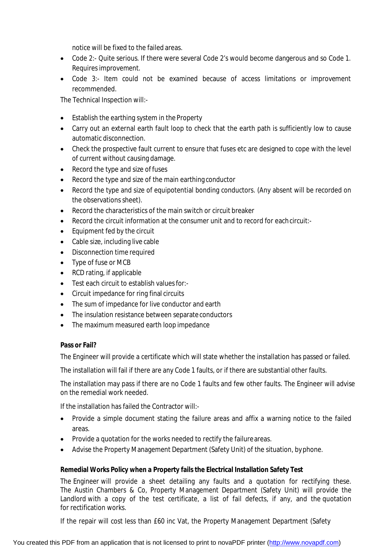notice will be fixed to the failed areas.

- Code 2:- Quite serious. If there were several Code 2's would become dangerous and so Code 1. Requires improvement.
- Code 3:- Item could not be examined because of access limitations or improvement recommended.

The Technical Inspection will:-

- Establish the earthing system in the Property
- Carry out an external earth fault loop to check that the earth path is sufficiently low to cause automatic disconnection.
- Check the prospective fault current to ensure that fuses etc are designed to cope with the level of current without causing damage.
- Record the type and size of fuses
- Record the type and size of the main earthing conductor
- Record the type and size of equipotential bonding conductors. (Any absent will be recorded on the observations sheet).
- Record the characteristics of the main switch or circuit breaker
- Record the circuit information at the consumer unit and to record for eachcircuit:-
- Equipment fed by the circuit
- Cable size, including live cable
- Disconnection time required
- Type of fuse or MCB
- RCD rating, if applicable
- Test each circuit to establish values for:-
- Circuit impedance for ring final circuits
- The sum of impedance for live conductor and earth
- The insulation resistance between separate conductors
- The maximum measured earth loop impedance

# **Pass or Fail?**

The Engineer will provide a certificate which will state whether the installation has passed or failed.

The installation will fail if there are any Code 1 faults, or if there are substantial other faults.

The installation may pass if there are no Code 1 faults and few other faults. The Engineer will advise on the remedial work needed.

If the installation has failed the Contractor will:-

- Provide a simple document stating the failure areas and affix a warning notice to the failed areas.
- Provide a quotation for the works needed to rectify the failure areas.
- Advise the Property Management Department (Safety Unit) of the situation, byphone.

# **Remedial Works Policy when a Property fails the Electrical Installation Safety Test**

The Engineer will provide a sheet detailing any faults and a quotation for rectifying these. The Austin Chambers & Co, Property Management Department (Safety Unit) will provide the Landlord with a copy of the test certificate, a list of fail defects, if any, and the quotation for rectification works.

If the repair will cost less than £60 inc Vat, the Property Management Department (Safety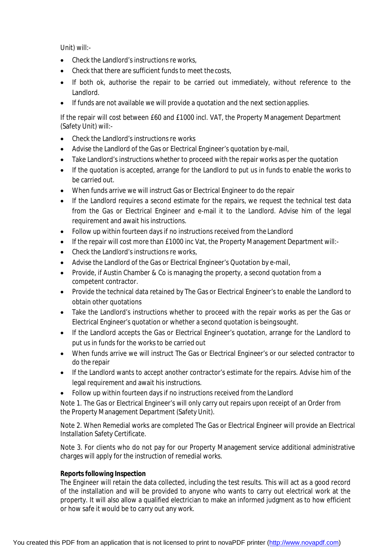Unit) will:-

- Check the Landlord's instructions re works,
- Check that there are sufficient funds to meet thecosts,
- If both ok, authorise the repair to be carried out immediately, without reference to the Landlord.
- If funds are not available we will provide a quotation and the next sectionapplies.

If the repair will cost between £60 and £1000 incl. VAT, the Property Management Department (Safety Unit) will:-

- Check the Landlord's instructions re works
- Advise the Landlord of the Gas or Electrical Engineer's quotation by e-mail,
- Take Landlord's instructions whether to proceed with the repair works as per the quotation
- If the quotation is accepted, arrange for the Landlord to put us in funds to enable the works to be carried out.
- When funds arrive we will instruct Gas or Electrical Engineer to do the repair
- If the Landlord requires a second estimate for the repairs, we request the technical test data from the Gas or Electrical Engineer and e-mail it to the Landlord. Advise him of the legal requirement and await his instructions.
- Follow up within fourteen days if no instructions received from the Landlord
- If the repair will cost more than £1000 inc Vat, the Property Management Department will:-
- Check the Landlord's instructions re works,
- Advise the Landlord of the Gas or Electrical Engineer's Quotation by e-mail,
- Provide, if Austin Chamber & Co is managing the property, a second quotation from a competent contractor.
- Provide the technical data retained by The Gas or Electrical Engineer's to enable the Landlord to obtain other quotations
- Take the Landlord's instructions whether to proceed with the repair works as per the Gas or Electrical Engineer's quotation or whether a second quotation is beingsought.
- If the Landlord accepts the Gas or Electrical Engineer's quotation, arrange for the Landlord to put us in funds for the works to be carried out
- When funds arrive we will instruct The Gas or Electrical Engineer's or our selected contractor to do the repair
- If the Landlord wants to accept another contractor's estimate for the repairs. Advise him of the legal requirement and await his instructions.
- Follow up within fourteen days if no instructions received from the Landlord

Note 1. The Gas or Electrical Engineer's will only carry out repairs upon receipt of an Order from the Property Management Department (Safety Unit).

Note 2. When Remedial works are completed The Gas or Electrical Engineer will provide an Electrical Installation Safety Certificate.

Note 3. For clients who do not pay for our Property Management service additional administrative charges will apply for the instruction of remedial works.

# **Reports following Inspection**

The Engineer will retain the data collected, including the test results. This will act as a good record of the installation and will be provided to anyone who wants to carry out electrical work at the property. It will also allow a qualified electrician to make an informed judgment as to how efficient or how safe it would be to carry out any work.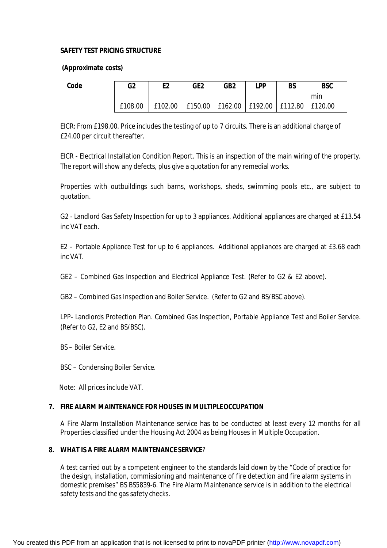# **SAFETY TEST PRICING STRUCTURE**

#### **(Approximate costs)**

| . .<br>$\sim$<br>۰.<br>۰.<br>. .<br>×<br>× |
|--------------------------------------------|
|--------------------------------------------|

| G <sub>2</sub> | E2 | GE <sub>2</sub>                                           | GB <sub>2</sub> | I PP | <b>BS</b> | <b>BSC</b> |
|----------------|----|-----------------------------------------------------------|-----------------|------|-----------|------------|
|                |    |                                                           |                 |      |           | min        |
| £108.00        |    | £102.00   £150.00   £162.00   £192.00   £112.80   £120.00 |                 |      |           |            |

EICR: From £198.00. Price includes the testing of up to 7 circuits. There is an additional charge of £24.00 per circuit thereafter.

EICR - Electrical Installation Condition Report. This is an inspection of the main wiring of the property. The report will show any defects, plus give a quotation for any remedial works.

Properties with outbuildings such barns, workshops, sheds, swimming pools etc., are subject to quotation.

G2 - Landlord Gas Safety Inspection for up to 3 appliances. Additional appliances are charged at £13.54 inc VAT each.

E2 – Portable Appliance Test for up to 6 appliances. Additional appliances are charged at £3.68 each inc VAT.

GE2 – Combined Gas Inspection and Electrical Appliance Test. (Refer to G2 & E2 above).

GB2 – Combined Gas Inspection and Boiler Service. (Refer to G2 and BS/BSC above).

LPP- Landlords Protection Plan. Combined Gas Inspection, Portable Appliance Test and Boiler Service. (Refer to G2, E2 and BS/BSC).

BS – Boiler Service.

BSC – Condensing Boiler Service.

Note: All prices include VAT.

# **7. FIRE ALARM MAINTENANCE FOR HOUSES IN MULTIPLEOCCUPATION**

A Fire Alarm Installation Maintenance service has to be conducted at least every 12 months for all Properties classified under the Housing Act 2004 as being Houses in Multiple Occupation.

# **8. WHAT IS A FIRE ALARM MAINTENANCE SERVICE**?

A test carried out by a competent engineer to the standards laid down by the "Code of practice for the design, installation, commissioning and maintenance of fire detection and fire alarm systems in domestic premises" BS BS5839-6. The Fire Alarm Maintenance service is in addition to the electrical safety tests and the gas safety checks.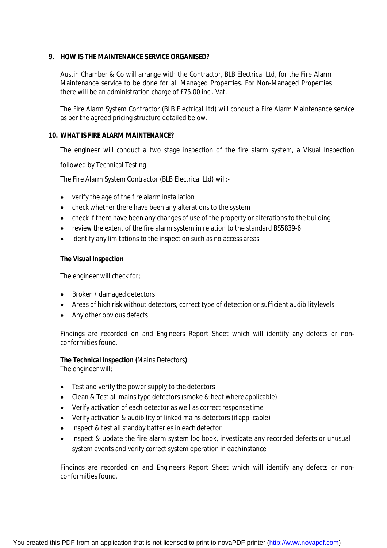### **9. HOW IS THE MAINTENANCE SERVICE ORGANISED?**

Austin Chamber & Co will arrange with the Contractor, BLB Electrical Ltd, for the Fire Alarm Maintenance service to be done for all Managed Properties. For Non-Managed Properties there will be an administration charge of £75.00 incl. Vat.

The Fire Alarm System Contractor (BLB Electrical Ltd) will conduct a Fire Alarm Maintenance service as per the agreed pricing structure detailed below.

#### **10. WHAT IS FIRE ALARM MAINTENANCE?**

The engineer will conduct a two stage inspection of the fire alarm system, a Visual Inspection

followed by Technical Testing.

The Fire Alarm System Contractor (BLB Electrical Ltd) will:-

- verify the age of the fire alarm installation
- check whether there have been any alterations to the system
- check if there have been any changes of use of the property or alterations to the building
- review the extent of the fire alarm system in relation to the standard BS5839-6
- identify any limitations to the inspection such as no access areas

#### **The Visual Inspection**

The engineer will check for;

- Broken / damaged detectors
- Areas of high risk without detectors, correct type of detection or sufficient audibilitylevels
- Any other obvious defects

Findings are recorded on and Engineers Report Sheet which will identify any defects or nonconformities found.

# **The Technical Inspection** *(Mains Detectors)*

The engineer will;

- Test and verify the power supply to the detectors
- Clean & Test all mains type detectors (smoke & heat where applicable)
- Verify activation of each detector as well as correct response time
- Verify activation & audibility of linked mains detectors (ifapplicable)
- Inspect & test all standby batteries in each detector
- Inspect & update the fire alarm system log book, investigate any recorded defects or unusual system events and verify correct system operation in eachinstance

Findings are recorded on and Engineers Report Sheet which will identify any defects or nonconformities found.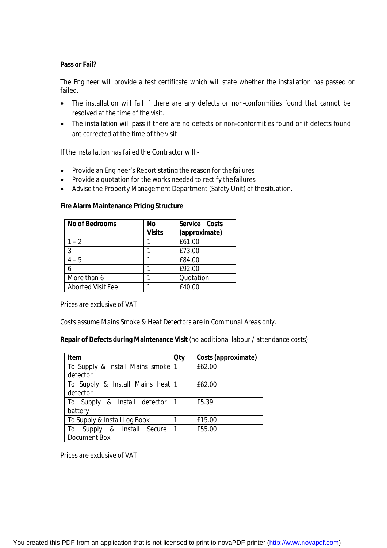# **Pass or Fail?**

The Engineer will provide a test certificate which will state whether the installation has passed or failed.

- The installation will fail if there are any defects or non-conformities found that cannot be resolved at the time of the visit.
- The installation will pass if there are no defects or non-conformities found or if defects found are corrected at the time of the visit

If the installation has failed the Contractor will:-

- Provide an Engineer's Report stating the reason for the failures
- Provide a quotation for the works needed to rectify the failures
- Advise the Property Management Department (Safety Unit) of thesituation.

#### **Fire Alarm Maintenance Pricing Structure**

| <b>No of Bedrooms</b>    | No            | Service Costs |
|--------------------------|---------------|---------------|
|                          | <b>Visits</b> | (approximate) |
| $1 - 2$                  |               | £61.00        |
| 3                        |               | £73.00        |
| $4 - 5$                  |               | £84.00        |
|                          |               | £92.00        |
| More than 6              |               | Quotation     |
| <b>Aborted Visit Fee</b> |               | £40.00        |

*Prices are exclusive of VAT*

*Costs assume Mains Smoke & Heat Detectors are in Communal Areas only.*

**Repair of Defects during Maintenance Visit** (no additional labour / attendance costs)

| Item                              | <b>Qty</b>   | Costs (approximate) |
|-----------------------------------|--------------|---------------------|
| To Supply & Install Mains smoke 1 |              | £62.00              |
| detector                          |              |                     |
| To Supply & Install Mains heat 1  |              | £62.00              |
| detector                          |              |                     |
| To Supply & Install detector      |              | £5.39               |
| battery                           |              |                     |
| To Supply & Install Log Book      |              | £15.00              |
| Supply & Install Secure<br>To     | $\mathbf{1}$ | £55.00              |
| <b>Document Box</b>               |              |                     |

*Prices are exclusive of VAT*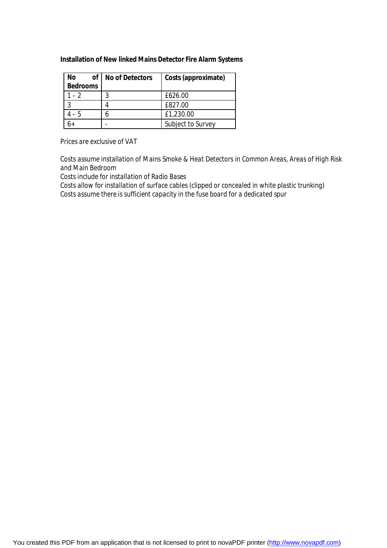### **Installation of New** *linked* **Mains Detector Fire Alarm Systems**

| Νo<br>of I<br><b>Bedrooms</b> | <b>No of Detectors</b> | Costs (approximate) |
|-------------------------------|------------------------|---------------------|
| $-2$                          |                        | £626.00             |
| ി                             |                        | £827.00             |
| $-5$                          |                        | £1,230.00           |
|                               |                        | Subject to Survey   |

*Prices are exclusive of VAT*

*Costs assume installation of Mains Smoke & Heat Detectors in Common Areas, Areas of High Risk and Main Bedroom*

*Costs include for installation of Radio Bases*

*Costs allow for installation of surface cables (clipped or concealed in white plastic trunking) Costs assume there is sufficient capacity in the fuse board for a dedicated spur*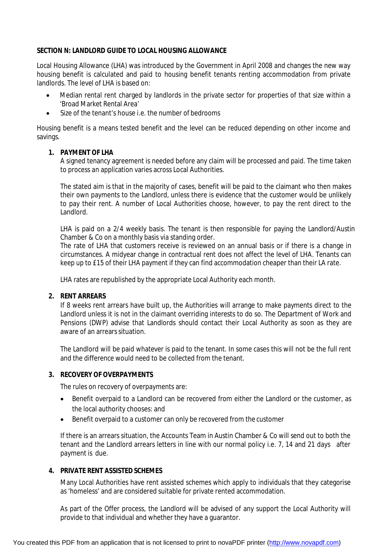### **SECTION N: LANDLORD GUIDE TO LOCAL HOUSING ALLOWANCE**

Local Housing Allowance (LHA) was introduced by the Government in April 2008 and changes the new way housing benefit is calculated and paid to housing benefit tenants renting accommodation from private landlords. The level of LHA is based on:

- Median rental rent charged by landlords in the private sector for properties of that size within a 'Broad Market Rental Area'
- Size of the tenant's house i.e. the number of bedrooms

Housing benefit is a means tested benefit and the level can be reduced depending on other income and savings.

# **1. PAYMENT OF LHA**

A signed tenancy agreement is needed before any claim will be processed and paid. The time taken to process an application varies across Local Authorities.

The stated aim is that in the majority of cases, benefit will be paid to the claimant who then makes their own payments to the Landlord, unless there is evidence that the customer would be unlikely to pay their rent. A number of Local Authorities choose, however, to pay the rent direct to the Landlord.

LHA is paid on a 2/4 weekly basis. The tenant is then responsible for paying the Landlord/Austin Chamber & Co on a monthly basis via standing order.

The rate of LHA that customers receive is reviewed on an annual basis or if there is a change in circumstances. A midyear change in contractual rent does not affect the level of LHA. Tenants can keep up to £15 of their LHA payment if they can find accommodation cheaper than their LA rate.

LHA rates are republished by the appropriate Local Authority each month.

# **2. RENT ARREARS**

If 8 weeks rent arrears have built up, the Authorities will arrange to make payments direct to the Landlord unless it is not in the claimant overriding interests to do so. The Department of Work and Pensions (DWP) advise that Landlords should contact their Local Authority as soon as they are aware of an arrears situation.

The Landlord will be paid whatever is paid to the tenant. In some cases this will not be the full rent and the difference would need to be collected from the tenant.

# **3. RECOVERY OF OVERPAYMENTS**

The rules on recovery of overpayments are:

- Benefit overpaid to a Landlord can be recovered from either the Landlord or the customer, as the local authority chooses: and
- Benefit overpaid to a customer can only be recovered from the customer

If there is an arrears situation, the Accounts Team in Austin Chamber & Co will send out to both the tenant and the Landlord arrears letters in line with our normal policy i.e. 7, 14 and 21 days after payment is due.

# **4. PRIVATE RENT ASSISTED SCHEMES**

Many Local Authorities have rent assisted schemes which apply to individuals that they categorise as 'homeless' and are considered suitable for private rented accommodation.

As part of the Offer process, the Landlord will be advised of any support the Local Authority will provide to that individual and whether they have a guarantor.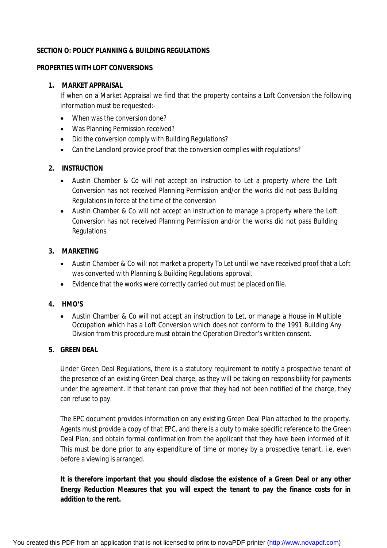# **SECTION O: POLICY PLANNING & BUILDING REGULATIONS**

### **PROPERTIES WITH LOFT CONVERSIONS**

# **1. MARKET APPRAISAL**

If when on a Market Appraisal we find that the property contains a Loft Conversion the following information must be requested:-

- When was the conversion done?
- Was Planning Permission received?
- Did the conversion comply with Building Regulations?
- Can the Landlord provide proof that the conversion complies with regulations?

# **2. INSTRUCTION**

- Austin Chamber & Co will not accept an instruction to Let a property where the Loft Conversion has not received Planning Permission and/or the works did not pass Building Regulations in force at the time of the conversion
- Austin Chamber & Co will not accept an instruction to manage a property where the Loft Conversion has not received Planning Permission and/or the works did not pass Building Regulations.

# **3. MARKETING**

- Austin Chamber & Co will not market a property To Let until we have received proof that a Loft was converted with Planning & Building Regulations approval.
- Evidence that the works were correctly carried out must be placed on file.

# **4. HMO'S**

 Austin Chamber & Co will not accept an instruction to Let, or manage a House in Multiple Occupation which has a Loft Conversion which does not conform to the 1991 Building Any Division from this procedure must obtain the Operation Director's written consent.

# **5. GREEN DEAL**

Under Green Deal Regulations, there is a statutory requirement to notify a prospective tenant of the presence of an existing Green Deal charge, as they will be taking on responsibility for payments under the agreement. If that tenant can prove that they had not been notified of the charge, they can refuse to pay.

The EPC document provides information on any existing Green Deal Plan attached to the property. Agents must provide a copy of that EPC, and there is a duty to make specific reference to the Green Deal Plan, and obtain formal confirmation from the applicant that they have been informed of it. This must be done prior to any expenditure of time or money by a prospective tenant, i.e. even before a viewing is arranged.

**It is therefore important that you should disclose the existence of a Green Deal or any other Energy Reduction Measures that you will expect the tenant to pay the finance costs for in addition to the rent.**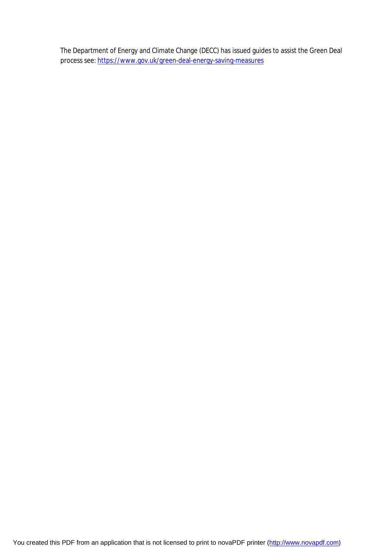The Department of Energy and Climate Change (DECC) has issued guides to assist the Green Deal process see:<https://www.gov.uk/green-deal-energy-saving-measures>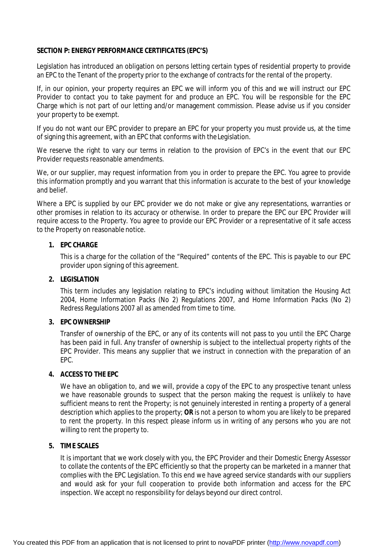# **SECTION P: ENERGY PERFORMANCE CERTIFICATES (EPC'S)**

Legislation has introduced an obligation on persons letting certain types of residential property to provide an EPC to the Tenant of the property prior to the exchange of contracts for the rental of the property.

If, in our opinion, your property requires an EPC we will inform you of this and we will instruct our EPC Provider to contact you to take payment for and produce an EPC. You will be responsible for the EPC Charge which is not part of our letting and/or management commission. Please advise us if you consider your property to be exempt.

If you do not want our EPC provider to prepare an EPC for your property you must provide us, at the time of signing this agreement, with an EPC that conforms with theLegislation.

We reserve the right to vary our terms in relation to the provision of EPC's in the event that our EPC Provider requests reasonable amendments.

We, or our supplier, may request information from you in order to prepare the EPC. You agree to provide this information promptly and you warrant that this information is accurate to the best of your knowledge and belief.

Where a EPC is supplied by our EPC provider we do not make or give any representations, warranties or other promises in relation to its accuracy or otherwise. In order to prepare the EPC our EPC Provider will require access to the Property. You agree to provide our EPC Provider or a representative of it safe access to the Property on reasonable notice.

# **1. EPC CHARGE**

This is a charge for the collation of the "Required" contents of the EPC. This is payable to our EPC provider upon signing of this agreement.

# **2. LEGISLATION**

This term includes any legislation relating to EPC's including without limitation the Housing Act 2004, Home Information Packs (No 2) Regulations 2007, and Home Information Packs (No 2) Redress Regulations 2007 all as amended from time to time.

# **3. EPC OWNERSHIP**

Transfer of ownership of the EPC, or any of its contents will not pass to you until the EPC Charge has been paid in full. Any transfer of ownership is subject to the intellectual property rights of the EPC Provider. This means any supplier that we instruct in connection with the preparation of an EPC.

#### **4. ACCESS TO THE EPC**

We have an obligation to, and we will, provide a copy of the EPC to any prospective tenant unless we have reasonable grounds to suspect that the person making the request is unlikely to have sufficient means to rent the Property; is not genuinely interested in renting a property of a general description which applies to the property; **OR** is not a person to whom you are likely to be prepared to rent the property. In this respect please inform us in writing of any persons who you are not willing to rent the property to.

# **5. TIME SCALES**

It is important that we work closely with you, the EPC Provider and their Domestic Energy Assessor to collate the contents of the EPC efficiently so that the property can be marketed in a manner that complies with the EPC Legislation. To this end we have agreed service standards with our suppliers and would ask for your full cooperation to provide both information and access for the EPC inspection. We accept no responsibility for delays beyond our direct control.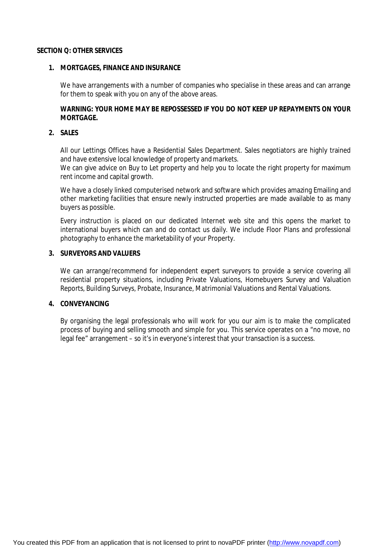#### **SECTION Q: OTHER SERVICES**

#### **1. MORTGAGES, FINANCE AND INSURANCE**

We have arrangements with a number of companies who specialise in these areas and can arrange for them to speak with you on any of the above areas.

# **WARNING: YOUR HOME MAY BE REPOSSESSED IF YOU DO NOT KEEP UP REPAYMENTS ON YOUR MORTGAGE.**

#### **2. SALES**

All our Lettings Offices have a Residential Sales Department. Sales negotiators are highly trained and have extensive local knowledge of property andmarkets.

We can give advice on Buy to Let property and help you to locate the right property for maximum rent income and capital growth.

We have a closely linked computerised network and software which provides amazing Emailing and other marketing facilities that ensure newly instructed properties are made available to as many buyers as possible.

Every instruction is placed on our dedicated Internet web site and this opens the market to international buyers which can and do contact us daily. We include Floor Plans and professional photography to enhance the marketability of your Property.

#### **3. SURVEYORS AND VALUERS**

We can arrange/recommend for independent expert surveyors to provide a service covering all residential property situations, including Private Valuations, Homebuyers Survey and Valuation Reports, Building Surveys, Probate, Insurance, Matrimonial Valuations and Rental Valuations.

# **4. CONVEYANCING**

By organising the legal professionals who will work for you our aim is to make the complicated process of buying and selling smooth and simple for you. This service operates on a "no move, no legal fee" arrangement – so it's in everyone's interest that your transaction is a success.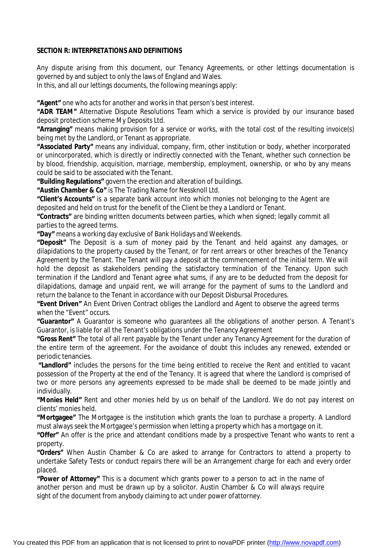# **SECTION R: INTERPRETATIONS AND DEFINITIONS**

Any dispute arising from this document, our Tenancy Agreements, or other lettings documentation is governed by and subject to only the laws of England and Wales.

In this, and all our lettings documents, the following meanings apply:

**"Agent"** one who acts for another and works in that person's best interest.

**"ADR TEAM"** Alternative Dispute Resolutions Team which a service is provided by our insurance based deposit protection scheme My Deposits Ltd.

**"Arranging"** means making provision for a service or works, with the total cost of the resulting invoice(s) being met by the Landlord, or Tenant as appropriate.

**"Associated Party"** means any individual, company, firm, other institution or body, whether incorporated or unincorporated, which is directly or indirectly connected with the Tenant, whether such connection be by blood, friendship, acquisition, marriage, membership, employment, ownership, or who by any means could be said to be associated with the Tenant.

**"Building Regulations"** govern the erection and alteration of buildings.

**"Austin Chamber & Co"** is The Trading Name for Nessknoll Ltd.

**"Client's Accounts"** is a separate bank account into which monies not belonging to the Agent are deposited and held on trust for the benefit of the Client be they a Landlord or Tenant.

**"Contracts"** are binding written documents between parties, which when signed; legally commit all parties to the agreed terms.

**"Day"** means a working day exclusive of Bank Holidays and Weekends.

**"Deposit"** The Deposit is a sum of money paid by the Tenant and held against any damages, or dilapidations to the property caused by the Tenant, or for rent arrears or other breaches of the Tenancy Agreement by the Tenant. The Tenant will pay a deposit at the commencement of the initial term. We will hold the deposit as stakeholders pending the satisfactory termination of the Tenancy. Upon such termination if the Landlord and Tenant agree what sums, if any are to be deducted from the deposit for dilapidations, damage and unpaid rent, we will arrange for the payment of sums to the Landlord and return the balance to the Tenant in accordance with our Deposit Disbursal Procedures.

**"Event Driven"** An Event Driven Contract obliges the Landlord and Agent to observe the agreed terms when the "Event" occurs.

**"Guarantor"** A Guarantor is someone who guarantees all the obligations of another person. A Tenant's Guarantor, is liable for all the Tenant's obligations under the Tenancy Agreement

**"Gross Rent"** The total of all rent payable by the Tenant under any Tenancy Agreement for the duration of the entire term of the agreement. For the avoidance of doubt this includes any renewed, extended or periodic tenancies.

**"Landlord"** includes the persons for the time being entitled to receive the Rent and entitled to vacant possession of the Property at the end of the Tenancy. It is agreed that where the Landlord is comprised of two or more persons any agreements expressed to be made shall be deemed to be made jointly and individually.

**"Monies Held"** Rent and other monies held by us on behalf of the Landlord. We do not pay interest on clients' monies held.

**"Mortgagee"** The Mortgagee is the institution which grants the loan to purchase a property. A Landlord must always seek the Mortgagee's permission when letting a property which has a mortgage on it.

**"Offer"** An offer is the price and attendant conditions made by a prospective Tenant who wants to rent a property.

**"Orders"** When Austin Chamber & Co are asked to arrange for Contractors to attend a property to undertake Safety Tests or conduct repairs there will be an Arrangement charge for each and every order placed.

**"Power of Attorney"** This is a document which grants power to a person to act in the name of another person and must be drawn up by a solicitor. Austin Chamber & Co will always require sight of the document from anybody claiming to act under power ofattorney.